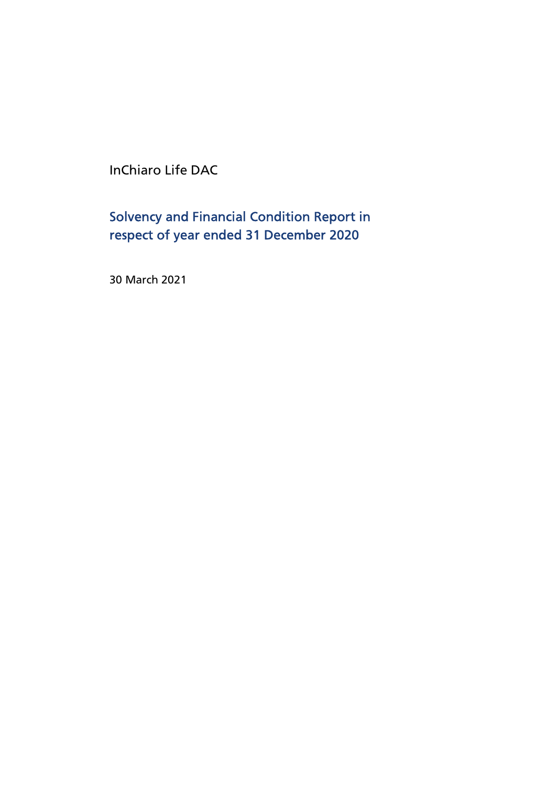InChiaro Life DAC

Solvency and Financial Condition Report in respect of year ended 31 December 2020

30 March 2021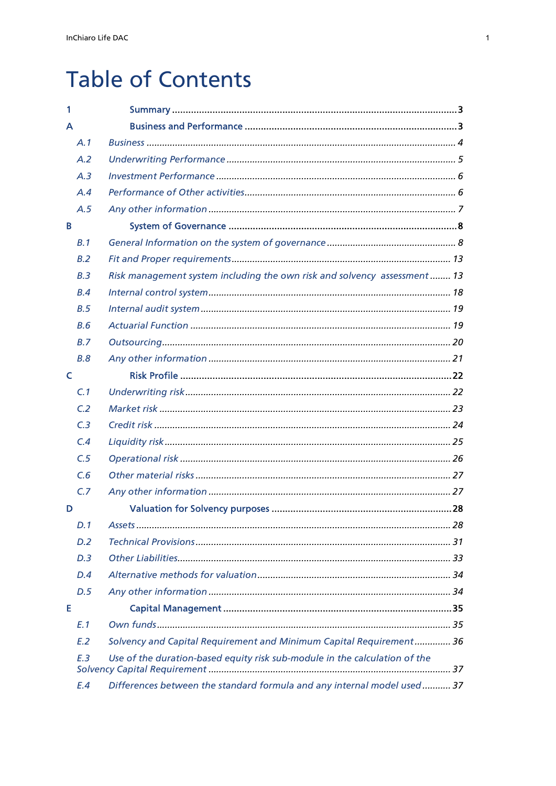# **Table of Contents**

| 1              |                                                                            |  |
|----------------|----------------------------------------------------------------------------|--|
| A              |                                                                            |  |
| A.1            |                                                                            |  |
| A.2            |                                                                            |  |
| A.3            |                                                                            |  |
| A.4            |                                                                            |  |
| A.5            |                                                                            |  |
| B              |                                                                            |  |
| B.1            |                                                                            |  |
| B.2            |                                                                            |  |
| B.3            | Risk management system including the own risk and solvency assessment 13   |  |
| B.4            |                                                                            |  |
| B.5            |                                                                            |  |
| B.6            |                                                                            |  |
| B.7            |                                                                            |  |
| B.8            |                                                                            |  |
| C              |                                                                            |  |
| C.1            |                                                                            |  |
| C <sub>2</sub> |                                                                            |  |
| C <sub>3</sub> |                                                                            |  |
| C.4            |                                                                            |  |
| C.5            |                                                                            |  |
| C.6            |                                                                            |  |
| C.7            |                                                                            |  |
| D              |                                                                            |  |
| D.1            |                                                                            |  |
| D.2            |                                                                            |  |
| D.3            |                                                                            |  |
| D.4            |                                                                            |  |
| D.5            |                                                                            |  |
| Е              |                                                                            |  |
| E.1            |                                                                            |  |
| E.2            | Solvency and Capital Requirement and Minimum Capital Requirement 36        |  |
| F.3            | Use of the duration-based equity risk sub-module in the calculation of the |  |
| E.4            | Differences between the standard formula and any internal model used 37    |  |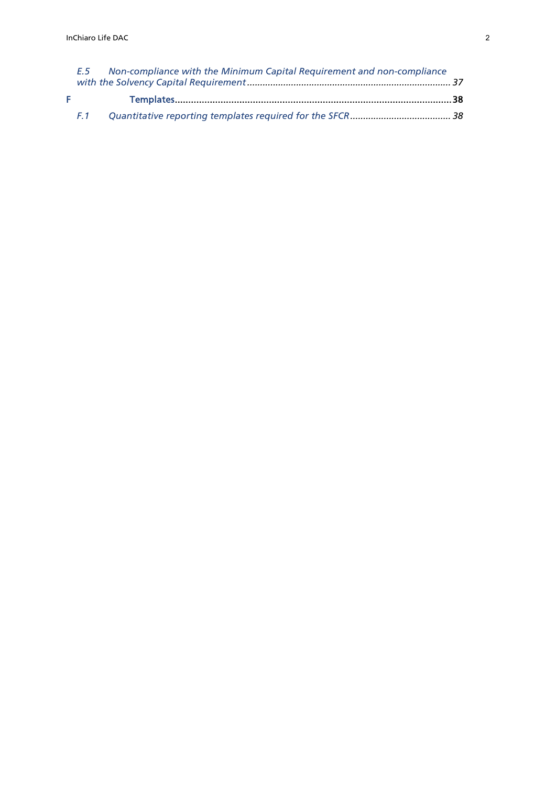|    |     | E.5 Non-compliance with the Minimum Capital Requirement and non-compliance |  |
|----|-----|----------------------------------------------------------------------------|--|
| F. |     |                                                                            |  |
|    | F.1 |                                                                            |  |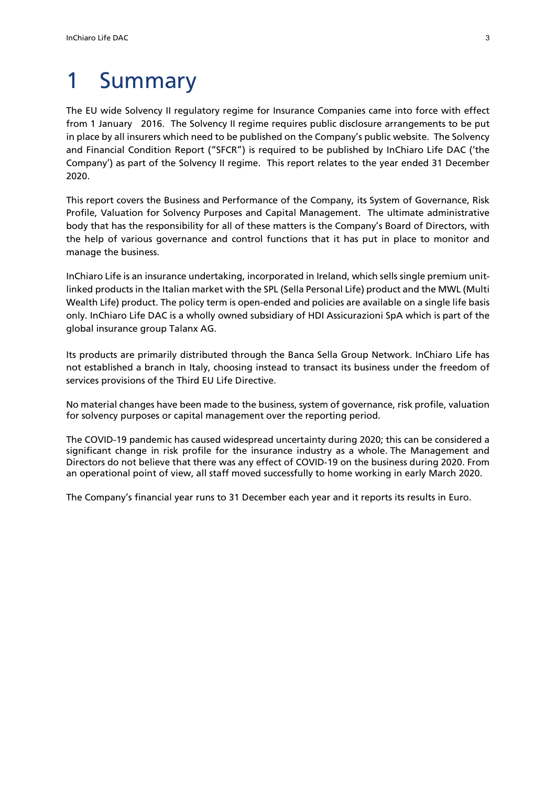# 1 Summary

The EU wide Solvency II regulatory regime for Insurance Companies came into force with effect from 1 January 2016. The Solvency II regime requires public disclosure arrangements to be put in place by all insurers which need to be published on the Company's public website. The Solvency and Financial Condition Report ("SFCR") is required to be published by InChiaro Life DAC ('the Company') as part of the Solvency II regime. This report relates to the year ended 31 December 2020.

This report covers the Business and Performance of the Company, its System of Governance, Risk Profile, Valuation for Solvency Purposes and Capital Management. The ultimate administrative body that has the responsibility for all of these matters is the Company's Board of Directors, with the help of various governance and control functions that it has put in place to monitor and manage the business.

InChiaro Life is an insurance undertaking, incorporated in Ireland, which sells single premium unitlinked products in the Italian market with the SPL (Sella Personal Life) product and the MWL (Multi Wealth Life) product. The policy term is open-ended and policies are available on a single life basis only. InChiaro Life DAC is a wholly owned subsidiary of HDI Assicurazioni SpA which is part of the global insurance group Talanx AG.

Its products are primarily distributed through the Banca Sella Group Network. InChiaro Life has not established a branch in Italy, choosing instead to transact its business under the freedom of services provisions of the Third EU Life Directive.

No material changes have been made to the business, system of governance, risk profile, valuation for solvency purposes or capital management over the reporting period.

The COVID-19 pandemic has caused widespread uncertainty during 2020; this can be considered a significant change in risk profile for the insurance industry as a whole. The Management and Directors do not believe that there was any effect of COVID-19 on the business during 2020. From an operational point of view, all staff moved successfully to home working in early March 2020.

The Company's financial year runs to 31 December each year and it reports its results in Euro.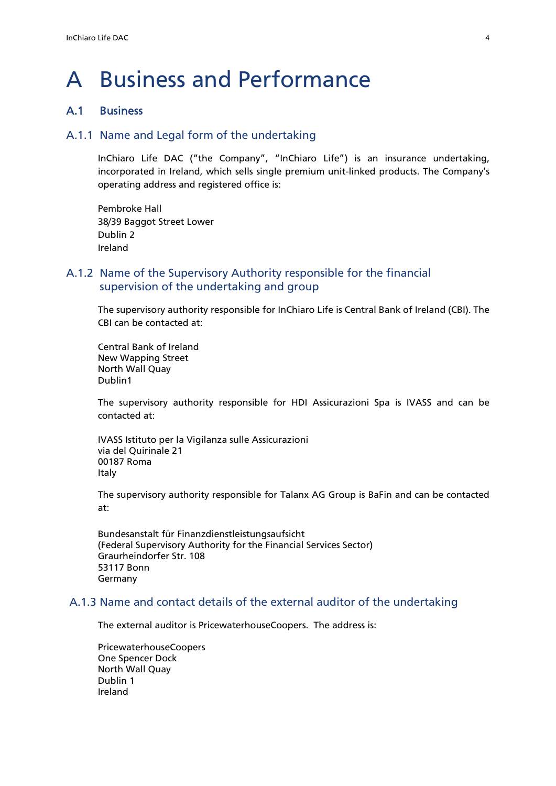# A Business and Performance

# A.1 Business

# A.1.1 Name and Legal form of the undertaking

InChiaro Life DAC ("the Company", "InChiaro Life") is an insurance undertaking, incorporated in Ireland, which sells single premium unit-linked products. The Company's operating address and registered office is:

Pembroke Hall 38/39 Baggot Street Lower Dublin 2 Ireland

# A.1.2 Name of the Supervisory Authority responsible for the financial supervision of the undertaking and group

The supervisory authority responsible for InChiaro Life is Central Bank of Ireland (CBI). The CBI can be contacted at:

Central Bank of Ireland New Wapping Street North Wall Quay Dublin1

The supervisory authority responsible for HDI Assicurazioni Spa is IVASS and can be contacted at:

IVASS Istituto per la Vigilanza sulle Assicurazioni via del Quirinale 21 00187 Roma Italy

The supervisory authority responsible for Talanx AG Group is BaFin and can be contacted at:

Bundesanstalt für Finanzdienstleistungsaufsicht (Federal Supervisory Authority for the Financial Services Sector) Graurheindorfer Str. 108 53117 Bonn Germany

# A.1.3 Name and contact details of the external auditor of the undertaking

The external auditor is PricewaterhouseCoopers. The address is:

PricewaterhouseCoopers One Spencer Dock North Wall Quay Dublin 1 Ireland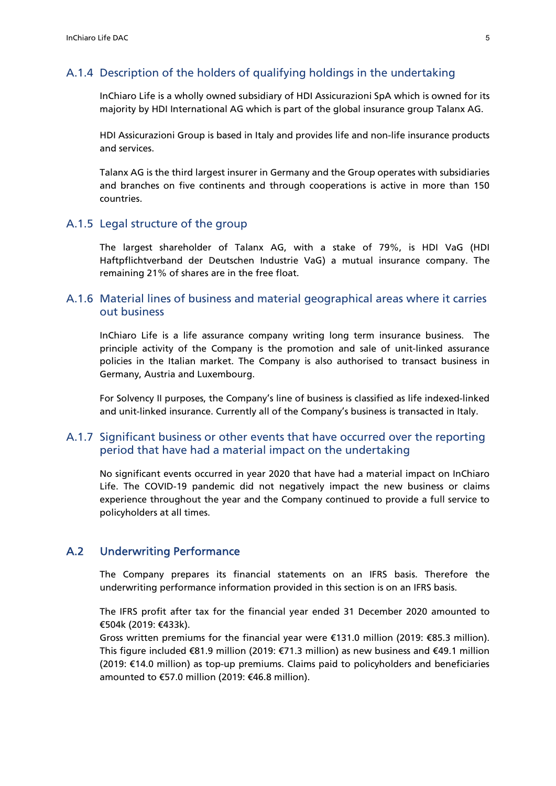#### A.1.4 Description of the holders of qualifying holdings in the undertaking

InChiaro Life is a wholly owned subsidiary of HDI Assicurazioni SpA which is owned for its majority by HDI International AG which is part of the global insurance group Talanx AG.

HDI Assicurazioni Group is based in Italy and provides life and non-life insurance products and services.

Talanx AG is the third largest insurer in Germany and the Group operates with subsidiaries and branches on five continents and through cooperations is active in more than 150 countries.

#### A.1.5 Legal structure of the group

The largest shareholder of Talanx AG, with a stake of 79%, is HDI VaG (HDI Haftpflichtverband der Deutschen Industrie VaG) a mutual insurance company. The remaining 21% of shares are in the free float.

# A.1.6 Material lines of business and material geographical areas where it carries out business

InChiaro Life is a life assurance company writing long term insurance business. The principle activity of the Company is the promotion and sale of unit-linked assurance policies in the Italian market. The Company is also authorised to transact business in Germany, Austria and Luxembourg.

For Solvency II purposes, the Company's line of business is classified as life indexed-linked and unit-linked insurance. Currently all of the Company's business is transacted in Italy.

# A.1.7 Significant business or other events that have occurred over the reporting period that have had a material impact on the undertaking

No significant events occurred in year 2020 that have had a material impact on InChiaro Life. The COVID-19 pandemic did not negatively impact the new business or claims experience throughout the year and the Company continued to provide a full service to policyholders at all times.

# A.2 Underwriting Performance

The Company prepares its financial statements on an IFRS basis. Therefore the underwriting performance information provided in this section is on an IFRS basis.

The IFRS profit after tax for the financial year ended 31 December 2020 amounted to €504k (2019: €433k).

Gross written premiums for the financial year were €131.0 million (2019: €85.3 million). This figure included €81.9 million (2019: €71.3 million) as new business and €49.1 million (2019: €14.0 million) as top-up premiums. Claims paid to policyholders and beneficiaries amounted to €57.0 million (2019: €46.8 million).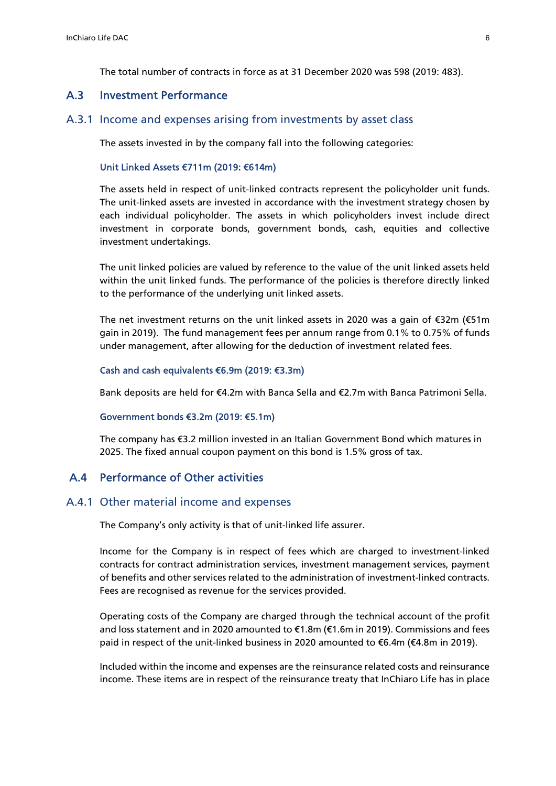The total number of contracts in force as at 31 December 2020 was 598 (2019: 483).

### A.3 Investment Performance

#### A.3.1 Income and expenses arising from investments by asset class

The assets invested in by the company fall into the following categories:

#### Unit Linked Assets €711m (2019: €614m)

The assets held in respect of unit-linked contracts represent the policyholder unit funds. The unit-linked assets are invested in accordance with the investment strategy chosen by each individual policyholder. The assets in which policyholders invest include direct investment in corporate bonds, government bonds, cash, equities and collective investment undertakings.

The unit linked policies are valued by reference to the value of the unit linked assets held within the unit linked funds. The performance of the policies is therefore directly linked to the performance of the underlying unit linked assets.

The net investment returns on the unit linked assets in 2020 was a gain of  $\epsilon$ 32m ( $\epsilon$ 51m gain in 2019). The fund management fees per annum range from 0.1% to 0.75% of funds under management, after allowing for the deduction of investment related fees.

#### Cash and cash equivalents €6.9m (2019: €3.3m)

Bank deposits are held for €4.2m with Banca Sella and €2.7m with Banca Patrimoni Sella.

#### Government bonds €3.2m (2019: €5.1m)

The company has €3.2 million invested in an Italian Government Bond which matures in 2025. The fixed annual coupon payment on this bond is 1.5% gross of tax.

# A.4 Performance of Other activities

#### A.4.1 Other material income and expenses

The Company's only activity is that of unit-linked life assurer.

Income for the Company is in respect of fees which are charged to investment-linked contracts for contract administration services, investment management services, payment of benefits and other services related to the administration of investment-linked contracts. Fees are recognised as revenue for the services provided.

Operating costs of the Company are charged through the technical account of the profit and loss statement and in 2020 amounted to  $\epsilon$ 1.8m ( $\epsilon$ 1.6m in 2019). Commissions and fees paid in respect of the unit-linked business in 2020 amounted to €6.4m (€4.8m in 2019).

Included within the income and expenses are the reinsurance related costs and reinsurance income. These items are in respect of the reinsurance treaty that InChiaro Life has in place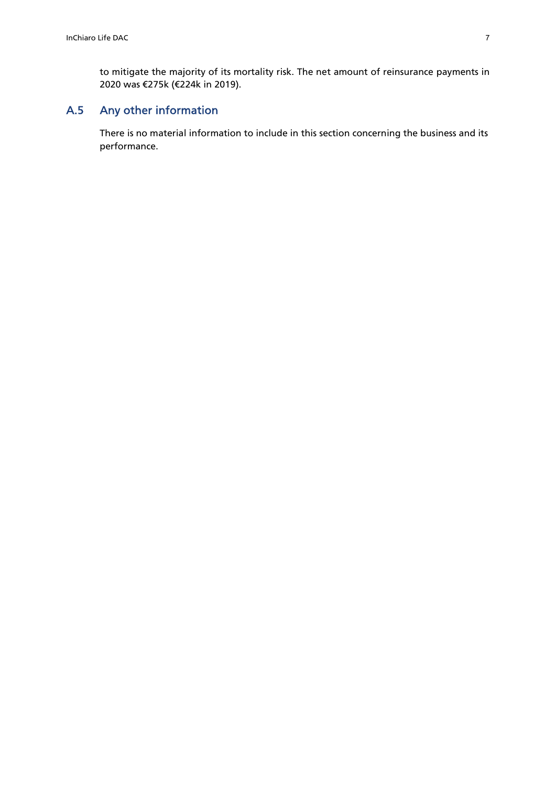to mitigate the majority of its mortality risk. The net amount of reinsurance payments in 2020 was €275k (€224k in 2019).

# A.5 Any other information

There is no material information to include in this section concerning the business and its performance.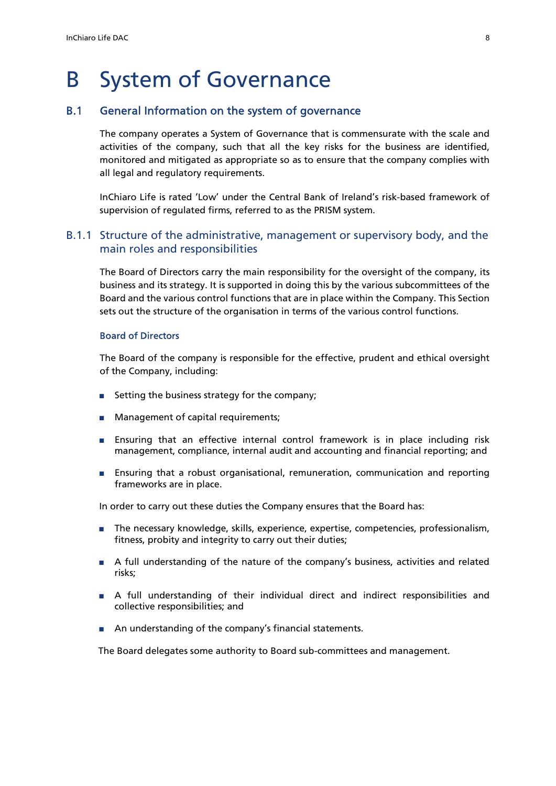# B System of Governance

### B.1 General Information on the system of governance

The company operates a System of Governance that is commensurate with the scale and activities of the company, such that all the key risks for the business are identified, monitored and mitigated as appropriate so as to ensure that the company complies with all legal and regulatory requirements.

InChiaro Life is rated 'Low' under the Central Bank of Ireland's risk-based framework of supervision of regulated firms, referred to as the PRISM system.

# B.1.1 Structure of the administrative, management or supervisory body, and the main roles and responsibilities

The Board of Directors carry the main responsibility for the oversight of the company, its business and its strategy. It is supported in doing this by the various subcommittees of the Board and the various control functions that are in place within the Company. This Section sets out the structure of the organisation in terms of the various control functions.

#### Board of Directors

The Board of the company is responsible for the effective, prudent and ethical oversight of the Company, including:

- Setting the business strategy for the company;
- Management of capital requirements;
- Ensuring that an effective internal control framework is in place including risk management, compliance, internal audit and accounting and financial reporting; and
- Ensuring that a robust organisational, remuneration, communication and reporting frameworks are in place.

In order to carry out these duties the Company ensures that the Board has:

- The necessary knowledge, skills, experience, expertise, competencies, professionalism, fitness, probity and integrity to carry out their duties;
- A full understanding of the nature of the company's business, activities and related risks;
- A full understanding of their individual direct and indirect responsibilities and collective responsibilities; and
- An understanding of the company's financial statements.

The Board delegates some authority to Board sub-committees and management.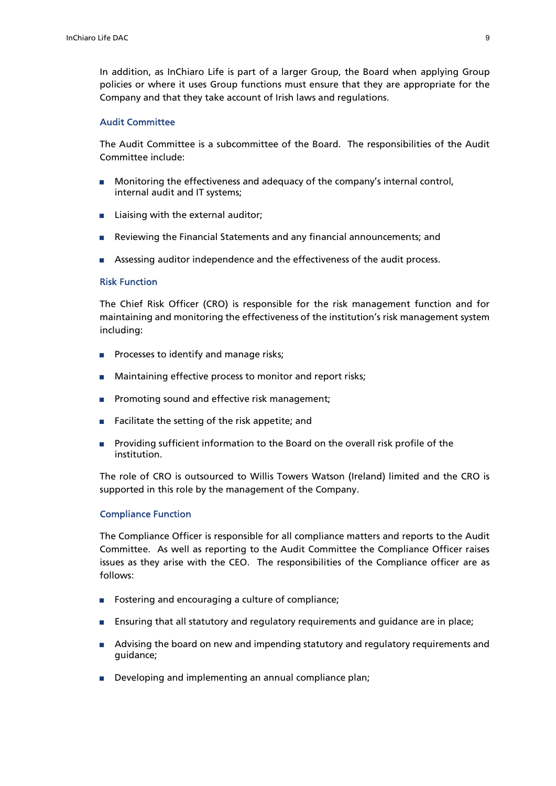In addition, as InChiaro Life is part of a larger Group, the Board when applying Group policies or where it uses Group functions must ensure that they are appropriate for the Company and that they take account of Irish laws and regulations.

#### Audit Committee

The Audit Committee is a subcommittee of the Board. The responsibilities of the Audit Committee include:

- Monitoring the effectiveness and adequacy of the company's internal control, internal audit and IT systems;
- Liaising with the external auditor;
- Reviewing the Financial Statements and any financial announcements; and
- Assessing auditor independence and the effectiveness of the audit process.

#### Risk Function

The Chief Risk Officer (CRO) is responsible for the risk management function and for maintaining and monitoring the effectiveness of the institution's risk management system including:

- Processes to identify and manage risks;
- Maintaining effective process to monitor and report risks;
- Promoting sound and effective risk management;
- Facilitate the setting of the risk appetite; and
- Providing sufficient information to the Board on the overall risk profile of the institution.

The role of CRO is outsourced to Willis Towers Watson (Ireland) limited and the CRO is supported in this role by the management of the Company.

#### Compliance Function

The Compliance Officer is responsible for all compliance matters and reports to the Audit Committee. As well as reporting to the Audit Committee the Compliance Officer raises issues as they arise with the CEO. The responsibilities of the Compliance officer are as follows:

- Fostering and encouraging a culture of compliance;
- Ensuring that all statutory and regulatory requirements and guidance are in place;
- Advising the board on new and impending statutory and regulatory requirements and guidance;
- Developing and implementing an annual compliance plan;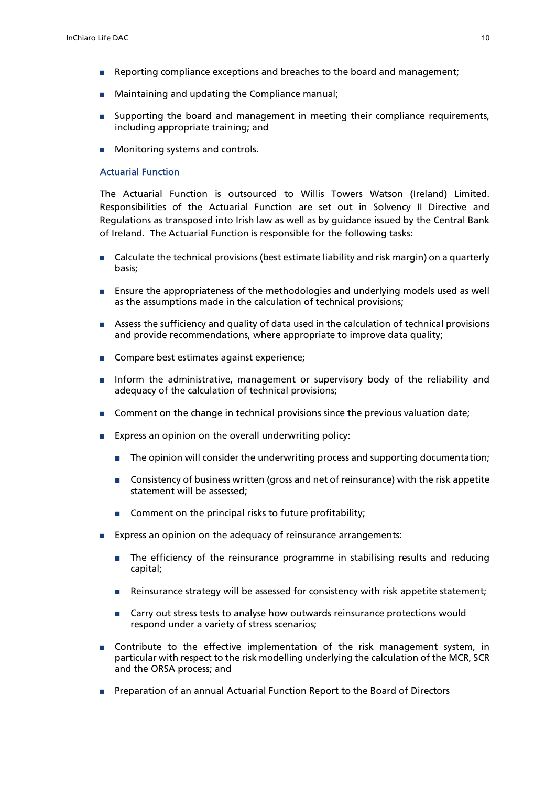- Reporting compliance exceptions and breaches to the board and management;
- Maintaining and updating the Compliance manual;
- Supporting the board and management in meeting their compliance requirements, including appropriate training; and
- Monitoring systems and controls.

#### Actuarial Function

The Actuarial Function is outsourced to Willis Towers Watson (Ireland) Limited. Responsibilities of the Actuarial Function are set out in Solvency II Directive and Regulations as transposed into Irish law as well as by guidance issued by the Central Bank of Ireland. The Actuarial Function is responsible for the following tasks:

- Calculate the technical provisions (best estimate liability and risk margin) on a quarterly basis;
- Ensure the appropriateness of the methodologies and underlying models used as well as the assumptions made in the calculation of technical provisions;
- Assess the sufficiency and quality of data used in the calculation of technical provisions and provide recommendations, where appropriate to improve data quality;
- Compare best estimates against experience;
- Inform the administrative, management or supervisory body of the reliability and adequacy of the calculation of technical provisions;
- Comment on the change in technical provisions since the previous valuation date;
- Express an opinion on the overall underwriting policy:
	- The opinion will consider the underwriting process and supporting documentation;
	- Consistency of business written (gross and net of reinsurance) with the risk appetite statement will be assessed;
	- Comment on the principal risks to future profitability;
- Express an opinion on the adequacy of reinsurance arrangements:
	- The efficiency of the reinsurance programme in stabilising results and reducing capital;
	- Reinsurance strategy will be assessed for consistency with risk appetite statement;
	- Carry out stress tests to analyse how outwards reinsurance protections would respond under a variety of stress scenarios;
- Contribute to the effective implementation of the risk management system, in particular with respect to the risk modelling underlying the calculation of the MCR, SCR and the ORSA process; and
- Preparation of an annual Actuarial Function Report to the Board of Directors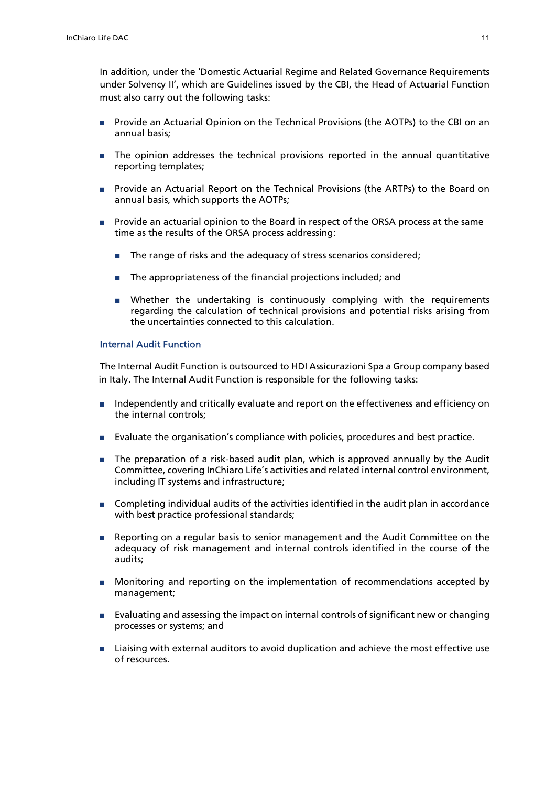In addition, under the 'Domestic Actuarial Regime and Related Governance Requirements under Solvency II', which are Guidelines issued by the CBI, the Head of Actuarial Function must also carry out the following tasks:

- Provide an Actuarial Opinion on the Technical Provisions (the AOTPs) to the CBI on an annual basis;
- The opinion addresses the technical provisions reported in the annual quantitative reporting templates;
- Provide an Actuarial Report on the Technical Provisions (the ARTPs) to the Board on annual basis, which supports the AOTPs;
- Provide an actuarial opinion to the Board in respect of the ORSA process at the same time as the results of the ORSA process addressing:
	- The range of risks and the adequacy of stress scenarios considered;
	- The appropriateness of the financial projections included; and
	- Whether the undertaking is continuously complying with the requirements regarding the calculation of technical provisions and potential risks arising from the uncertainties connected to this calculation.

#### Internal Audit Function

 The Internal Audit Function is outsourced to HDI Assicurazioni Spa a Group company based in Italy. The Internal Audit Function is responsible for the following tasks:

- Independently and critically evaluate and report on the effectiveness and efficiency on the internal controls;
- Evaluate the organisation's compliance with policies, procedures and best practice.
- The preparation of a risk-based audit plan, which is approved annually by the Audit Committee, covering InChiaro Life's activities and related internal control environment, including IT systems and infrastructure;
- Completing individual audits of the activities identified in the audit plan in accordance with best practice professional standards;
- Reporting on a regular basis to senior management and the Audit Committee on the adequacy of risk management and internal controls identified in the course of the audits;
- Monitoring and reporting on the implementation of recommendations accepted by management;
- Evaluating and assessing the impact on internal controls of significant new or changing processes or systems; and
- Liaising with external auditors to avoid duplication and achieve the most effective use of resources.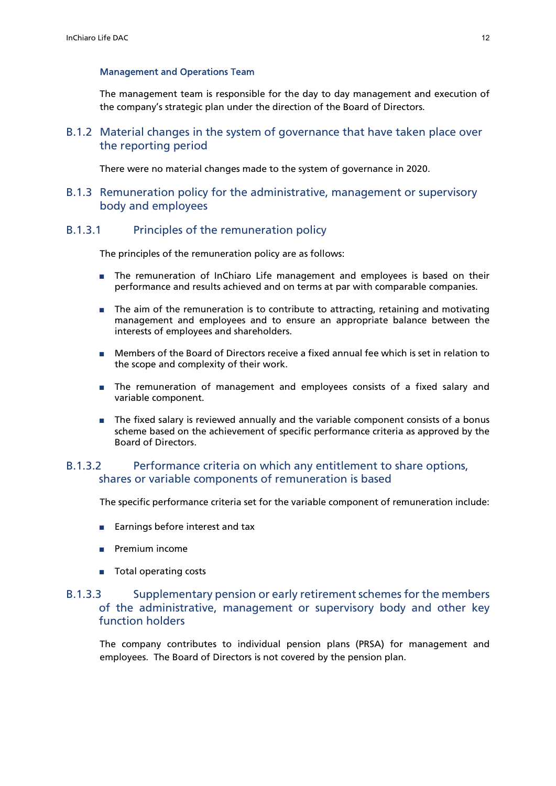#### Management and Operations Team

The management team is responsible for the day to day management and execution of the company's strategic plan under the direction of the Board of Directors.

B.1.2 Material changes in the system of governance that have taken place over the reporting period

There were no material changes made to the system of governance in 2020.

B.1.3 Remuneration policy for the administrative, management or supervisory body and employees

### B.1.3.1 Principles of the remuneration policy

The principles of the remuneration policy are as follows:

- The remuneration of InChiaro Life management and employees is based on their performance and results achieved and on terms at par with comparable companies.
- The aim of the remuneration is to contribute to attracting, retaining and motivating management and employees and to ensure an appropriate balance between the interests of employees and shareholders.
- Members of the Board of Directors receive a fixed annual fee which is set in relation to the scope and complexity of their work.
- The remuneration of management and employees consists of a fixed salary and variable component.
- The fixed salary is reviewed annually and the variable component consists of a bonus scheme based on the achievement of specific performance criteria as approved by the Board of Directors.

# B.1.3.2 Performance criteria on which any entitlement to share options, shares or variable components of remuneration is based

The specific performance criteria set for the variable component of remuneration include:

- Earnings before interest and tax
- Premium income
- Total operating costs

# B.1.3.3 Supplementary pension or early retirement schemes for the members of the administrative, management or supervisory body and other key function holders

The company contributes to individual pension plans (PRSA) for management and employees. The Board of Directors is not covered by the pension plan.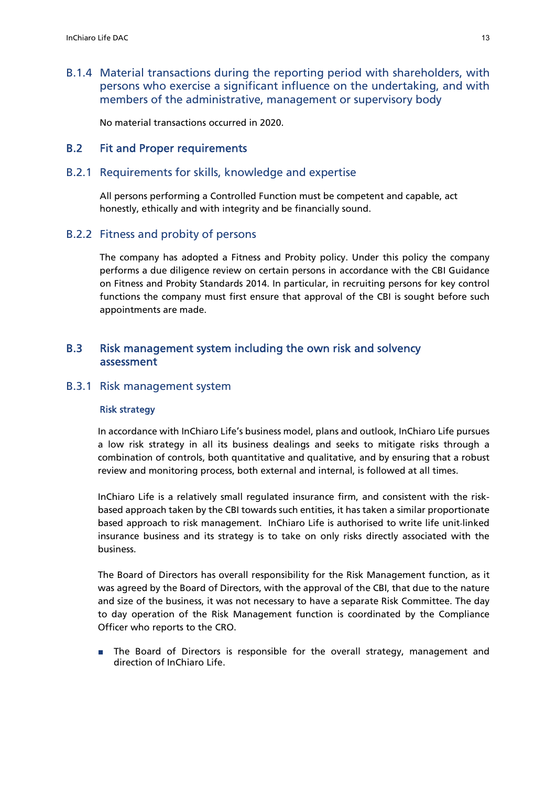B.1.4 Material transactions during the reporting period with shareholders, with persons who exercise a significant influence on the undertaking, and with members of the administrative, management or supervisory body

No material transactions occurred in 2020.

# B.2 Fit and Proper requirements

#### B.2.1 Requirements for skills, knowledge and expertise

All persons performing a Controlled Function must be competent and capable, act honestly, ethically and with integrity and be financially sound.

#### B.2.2 Fitness and probity of persons

The company has adopted a Fitness and Probity policy. Under this policy the company performs a due diligence review on certain persons in accordance with the CBI Guidance on Fitness and Probity Standards 2014. In particular, in recruiting persons for key control functions the company must first ensure that approval of the CBI is sought before such appointments are made.

# B.3 Risk management system including the own risk and solvency assessment

#### B.3.1 Risk management system

#### Risk strategy

In accordance with InChiaro Life's business model, plans and outlook, InChiaro Life pursues a low risk strategy in all its business dealings and seeks to mitigate risks through a combination of controls, both quantitative and qualitative, and by ensuring that a robust review and monitoring process, both external and internal, is followed at all times.

InChiaro Life is a relatively small regulated insurance firm, and consistent with the riskbased approach taken by the CBI towards such entities, it has taken a similar proportionate based approach to risk management. InChiaro Life is authorised to write life unit-linked insurance business and its strategy is to take on only risks directly associated with the business.

The Board of Directors has overall responsibility for the Risk Management function, as it was agreed by the Board of Directors, with the approval of the CBI, that due to the nature and size of the business, it was not necessary to have a separate Risk Committee. The day to day operation of the Risk Management function is coordinated by the Compliance Officer who reports to the CRO.

■ The Board of Directors is responsible for the overall strategy, management and direction of InChiaro Life.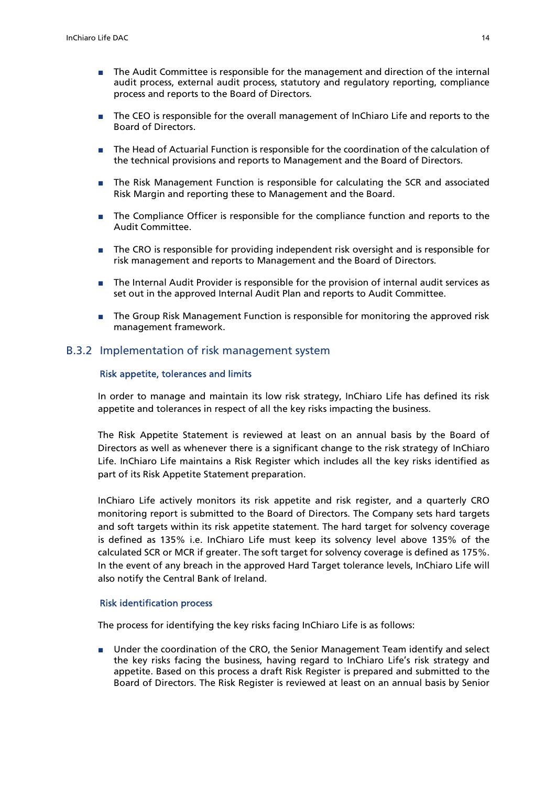- The Audit Committee is responsible for the management and direction of the internal audit process, external audit process, statutory and regulatory reporting, compliance process and reports to the Board of Directors.
- The CEO is responsible for the overall management of InChiaro Life and reports to the Board of Directors.
- The Head of Actuarial Function is responsible for the coordination of the calculation of the technical provisions and reports to Management and the Board of Directors.
- The Risk Management Function is responsible for calculating the SCR and associated Risk Margin and reporting these to Management and the Board.
- The Compliance Officer is responsible for the compliance function and reports to the Audit Committee.
- The CRO is responsible for providing independent risk oversight and is responsible for risk management and reports to Management and the Board of Directors.
- The Internal Audit Provider is responsible for the provision of internal audit services as set out in the approved Internal Audit Plan and reports to Audit Committee.
- The Group Risk Management Function is responsible for monitoring the approved risk management framework.

#### B.3.2 Implementation of risk management system

#### Risk appetite, tolerances and limits

In order to manage and maintain its low risk strategy, InChiaro Life has defined its risk appetite and tolerances in respect of all the key risks impacting the business.

The Risk Appetite Statement is reviewed at least on an annual basis by the Board of Directors as well as whenever there is a significant change to the risk strategy of InChiaro Life. InChiaro Life maintains a Risk Register which includes all the key risks identified as part of its Risk Appetite Statement preparation.

InChiaro Life actively monitors its risk appetite and risk register, and a quarterly CRO monitoring report is submitted to the Board of Directors. The Company sets hard targets and soft targets within its risk appetite statement. The hard target for solvency coverage is defined as 135% i.e. InChiaro Life must keep its solvency level above 135% of the calculated SCR or MCR if greater. The soft target for solvency coverage is defined as 175%. In the event of any breach in the approved Hard Target tolerance levels, InChiaro Life will also notify the Central Bank of Ireland.

#### Risk identification process

The process for identifying the key risks facing InChiaro Life is as follows:

■ Under the coordination of the CRO, the Senior Management Team identify and select the key risks facing the business, having regard to InChiaro Life's risk strategy and appetite. Based on this process a draft Risk Register is prepared and submitted to the Board of Directors. The Risk Register is reviewed at least on an annual basis by Senior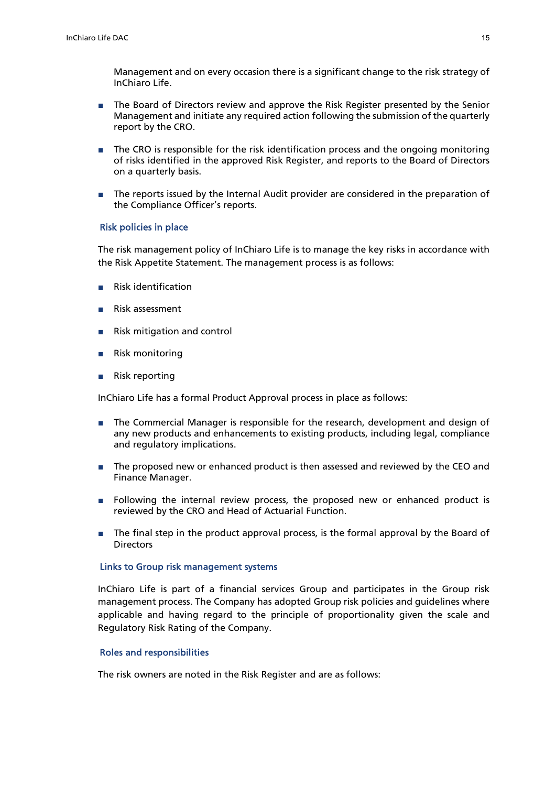Management and on every occasion there is a significant change to the risk strategy of InChiaro Life.

- The Board of Directors review and approve the Risk Register presented by the Senior Management and initiate any required action following the submission of the quarterly report by the CRO.
- The CRO is responsible for the risk identification process and the ongoing monitoring of risks identified in the approved Risk Register, and reports to the Board of Directors on a quarterly basis.
- The reports issued by the Internal Audit provider are considered in the preparation of the Compliance Officer's reports.

#### Risk policies in place

The risk management policy of InChiaro Life is to manage the key risks in accordance with the Risk Appetite Statement. The management process is as follows:

- Risk identification
- Risk assessment
- Risk mitigation and control
- Risk monitoring
- Risk reporting

InChiaro Life has a formal Product Approval process in place as follows:

- The Commercial Manager is responsible for the research, development and design of any new products and enhancements to existing products, including legal, compliance and regulatory implications.
- The proposed new or enhanced product is then assessed and reviewed by the CEO and Finance Manager.
- Following the internal review process, the proposed new or enhanced product is reviewed by the CRO and Head of Actuarial Function.
- The final step in the product approval process, is the formal approval by the Board of **Directors**

#### Links to Group risk management systems

InChiaro Life is part of a financial services Group and participates in the Group risk management process. The Company has adopted Group risk policies and guidelines where applicable and having regard to the principle of proportionality given the scale and Regulatory Risk Rating of the Company.

#### Roles and responsibilities

The risk owners are noted in the Risk Register and are as follows: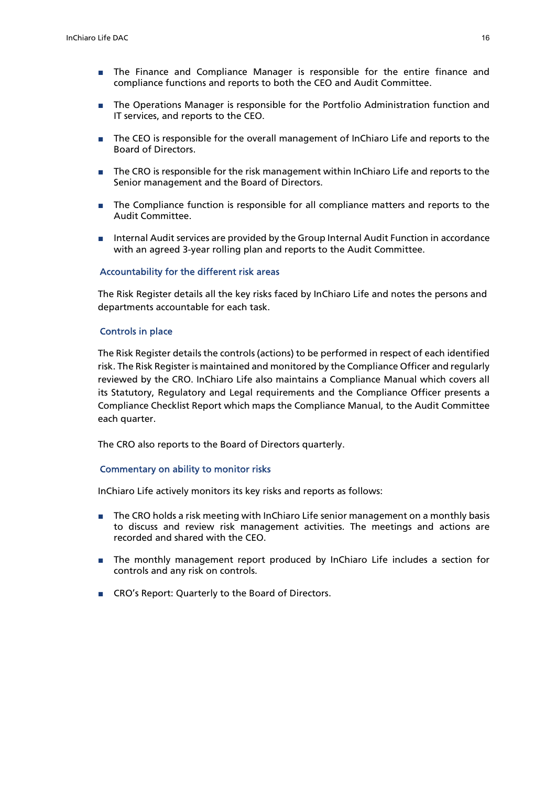- The Finance and Compliance Manager is responsible for the entire finance and compliance functions and reports to both the CEO and Audit Committee.
- The Operations Manager is responsible for the Portfolio Administration function and IT services, and reports to the CEO.
- The CEO is responsible for the overall management of InChiaro Life and reports to the Board of Directors.
- The CRO is responsible for the risk management within InChiaro Life and reports to the Senior management and the Board of Directors.
- The Compliance function is responsible for all compliance matters and reports to the Audit Committee.
- Internal Audit services are provided by the Group Internal Audit Function in accordance with an agreed 3-year rolling plan and reports to the Audit Committee.

#### Accountability for the different risk areas

The Risk Register details all the key risks faced by InChiaro Life and notes the persons and departments accountable for each task.

#### Controls in place

The Risk Register details the controls (actions) to be performed in respect of each identified risk. The Risk Register is maintained and monitored by the Compliance Officer and regularly reviewed by the CRO. InChiaro Life also maintains a Compliance Manual which covers all its Statutory, Regulatory and Legal requirements and the Compliance Officer presents a Compliance Checklist Report which maps the Compliance Manual, to the Audit Committee each quarter.

The CRO also reports to the Board of Directors quarterly.

#### Commentary on ability to monitor risks

InChiaro Life actively monitors its key risks and reports as follows:

- The CRO holds a risk meeting with InChiaro Life senior management on a monthly basis to discuss and review risk management activities. The meetings and actions are recorded and shared with the CEO.
- The monthly management report produced by InChiaro Life includes a section for controls and any risk on controls.
- CRO's Report: Quarterly to the Board of Directors.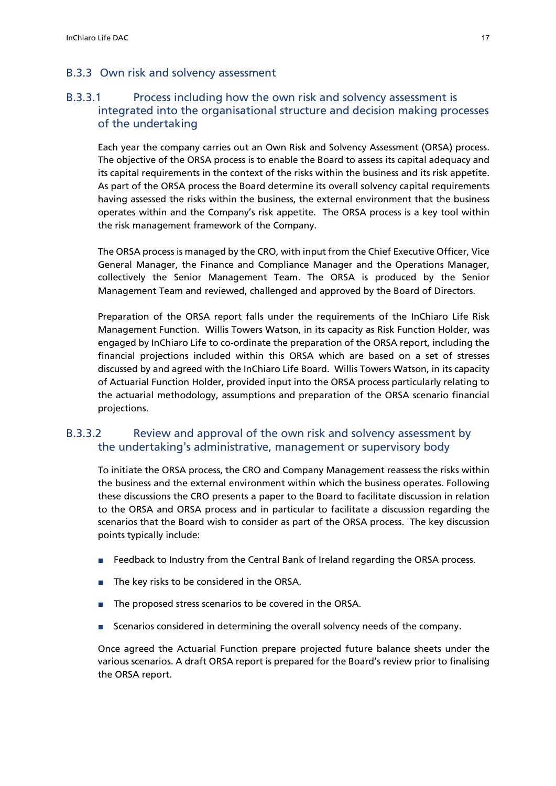# B.3.3 Own risk and solvency assessment

# B.3.3.1 Process including how the own risk and solvency assessment is integrated into the organisational structure and decision making processes of the undertaking

Each year the company carries out an Own Risk and Solvency Assessment (ORSA) process. The objective of the ORSA process is to enable the Board to assess its capital adequacy and its capital requirements in the context of the risks within the business and its risk appetite. As part of the ORSA process the Board determine its overall solvency capital requirements having assessed the risks within the business, the external environment that the business operates within and the Company's risk appetite. The ORSA process is a key tool within the risk management framework of the Company.

The ORSA process is managed by the CRO, with input from the Chief Executive Officer, Vice General Manager, the Finance and Compliance Manager and the Operations Manager, collectively the Senior Management Team. The ORSA is produced by the Senior Management Team and reviewed, challenged and approved by the Board of Directors.

Preparation of the ORSA report falls under the requirements of the InChiaro Life Risk Management Function. Willis Towers Watson, in its capacity as Risk Function Holder, was engaged by InChiaro Life to co-ordinate the preparation of the ORSA report, including the financial projections included within this ORSA which are based on a set of stresses discussed by and agreed with the InChiaro Life Board. Willis Towers Watson, in its capacity of Actuarial Function Holder, provided input into the ORSA process particularly relating to the actuarial methodology, assumptions and preparation of the ORSA scenario financial projections.

# B.3.3.2 Review and approval of the own risk and solvency assessment by the undertaking's administrative, management or supervisory body

To initiate the ORSA process, the CRO and Company Management reassess the risks within the business and the external environment within which the business operates. Following these discussions the CRO presents a paper to the Board to facilitate discussion in relation to the ORSA and ORSA process and in particular to facilitate a discussion regarding the scenarios that the Board wish to consider as part of the ORSA process. The key discussion points typically include:

- Feedback to Industry from the Central Bank of Ireland regarding the ORSA process.
- The key risks to be considered in the ORSA.
- The proposed stress scenarios to be covered in the ORSA.
- Scenarios considered in determining the overall solvency needs of the company.

Once agreed the Actuarial Function prepare projected future balance sheets under the various scenarios. A draft ORSA report is prepared for the Board's review prior to finalising the ORSA report.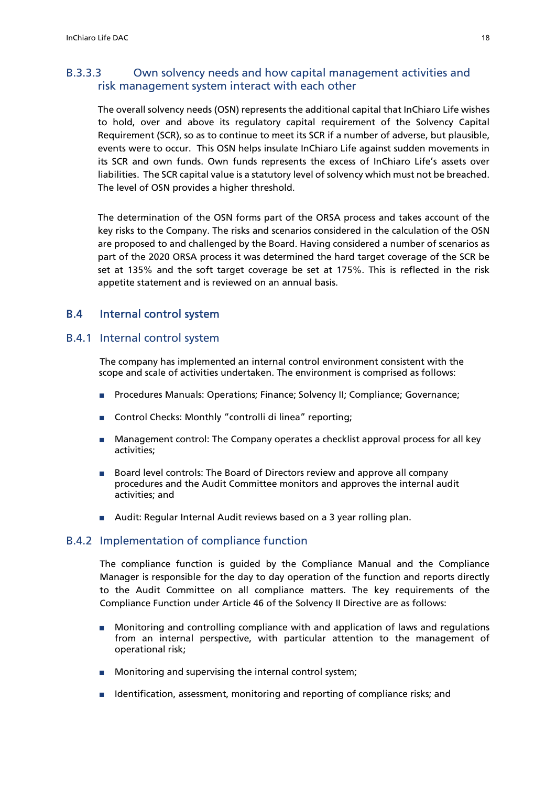# B.3.3.3 Own solvency needs and how capital management activities and risk management system interact with each other

The overall solvency needs (OSN) represents the additional capital that InChiaro Life wishes to hold, over and above its regulatory capital requirement of the Solvency Capital Requirement (SCR), so as to continue to meet its SCR if a number of adverse, but plausible, events were to occur. This OSN helps insulate InChiaro Life against sudden movements in its SCR and own funds. Own funds represents the excess of InChiaro Life's assets over liabilities. The SCR capital value is a statutory level of solvency which must not be breached. The level of OSN provides a higher threshold.

The determination of the OSN forms part of the ORSA process and takes account of the key risks to the Company. The risks and scenarios considered in the calculation of the OSN are proposed to and challenged by the Board. Having considered a number of scenarios as part of the 2020 ORSA process it was determined the hard target coverage of the SCR be set at 135% and the soft target coverage be set at 175%. This is reflected in the risk appetite statement and is reviewed on an annual basis.

# B.4 Internal control system

# B.4.1 Internal control system

The company has implemented an internal control environment consistent with the scope and scale of activities undertaken. The environment is comprised as follows:

- Procedures Manuals: Operations; Finance; Solvency II; Compliance; Governance;
- Control Checks: Monthly "controlli di linea" reporting;
- Management control: The Company operates a checklist approval process for all key activities;
- Board level controls: The Board of Directors review and approve all company procedures and the Audit Committee monitors and approves the internal audit activities; and
- Audit: Regular Internal Audit reviews based on a 3 year rolling plan.

# B.4.2 Implementation of compliance function

The compliance function is guided by the Compliance Manual and the Compliance Manager is responsible for the day to day operation of the function and reports directly to the Audit Committee on all compliance matters. The key requirements of the Compliance Function under Article 46 of the Solvency II Directive are as follows:

- Monitoring and controlling compliance with and application of laws and regulations from an internal perspective, with particular attention to the management of operational risk;
- Monitoring and supervising the internal control system;
- Identification, assessment, monitoring and reporting of compliance risks; and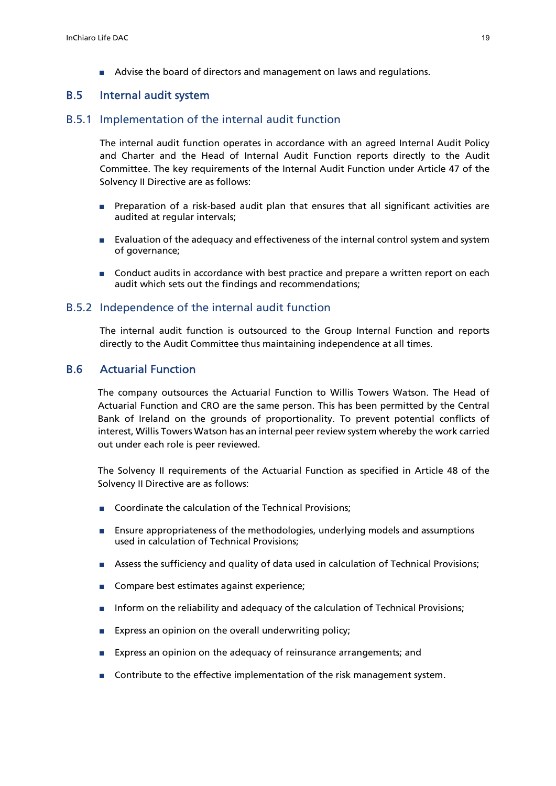■ Advise the board of directors and management on laws and regulations.

### B.5 Internal audit system

#### B.5.1 Implementation of the internal audit function

The internal audit function operates in accordance with an agreed Internal Audit Policy and Charter and the Head of Internal Audit Function reports directly to the Audit Committee. The key requirements of the Internal Audit Function under Article 47 of the Solvency II Directive are as follows:

- Preparation of a risk-based audit plan that ensures that all significant activities are audited at regular intervals;
- Evaluation of the adequacy and effectiveness of the internal control system and system of governance;
- Conduct audits in accordance with best practice and prepare a written report on each audit which sets out the findings and recommendations;

#### B.5.2 Independence of the internal audit function

The internal audit function is outsourced to the Group Internal Function and reports directly to the Audit Committee thus maintaining independence at all times.

# B.6 Actuarial Function

The company outsources the Actuarial Function to Willis Towers Watson. The Head of Actuarial Function and CRO are the same person. This has been permitted by the Central Bank of Ireland on the grounds of proportionality. To prevent potential conflicts of interest, Willis Towers Watson has an internal peer review system whereby the work carried out under each role is peer reviewed.

The Solvency II requirements of the Actuarial Function as specified in Article 48 of the Solvency II Directive are as follows:

- Coordinate the calculation of the Technical Provisions:
- Ensure appropriateness of the methodologies, underlying models and assumptions used in calculation of Technical Provisions;
- Assess the sufficiency and quality of data used in calculation of Technical Provisions;
- Compare best estimates against experience;
- Inform on the reliability and adequacy of the calculation of Technical Provisions;
- Express an opinion on the overall underwriting policy;
- Express an opinion on the adequacy of reinsurance arrangements; and
- Contribute to the effective implementation of the risk management system.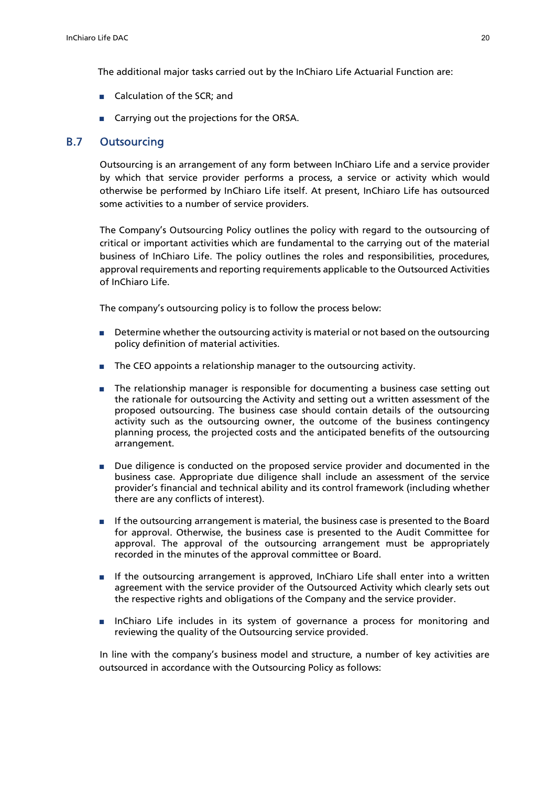The additional major tasks carried out by the InChiaro Life Actuarial Function are:

- Calculation of the SCR; and
- Carrying out the projections for the ORSA.

# B.7 Outsourcing

Outsourcing is an arrangement of any form between InChiaro Life and a service provider by which that service provider performs a process, a service or activity which would otherwise be performed by InChiaro Life itself. At present, InChiaro Life has outsourced some activities to a number of service providers.

The Company's Outsourcing Policy outlines the policy with regard to the outsourcing of critical or important activities which are fundamental to the carrying out of the material business of InChiaro Life. The policy outlines the roles and responsibilities, procedures, approval requirements and reporting requirements applicable to the Outsourced Activities of InChiaro Life.

The company's outsourcing policy is to follow the process below:

- Determine whether the outsourcing activity is material or not based on the outsourcing policy definition of material activities.
- The CEO appoints a relationship manager to the outsourcing activity.
- The relationship manager is responsible for documenting a business case setting out the rationale for outsourcing the Activity and setting out a written assessment of the proposed outsourcing. The business case should contain details of the outsourcing activity such as the outsourcing owner, the outcome of the business contingency planning process, the projected costs and the anticipated benefits of the outsourcing arrangement.
- Due diligence is conducted on the proposed service provider and documented in the business case. Appropriate due diligence shall include an assessment of the service provider's financial and technical ability and its control framework (including whether there are any conflicts of interest).
- If the outsourcing arrangement is material, the business case is presented to the Board for approval. Otherwise, the business case is presented to the Audit Committee for approval. The approval of the outsourcing arrangement must be appropriately recorded in the minutes of the approval committee or Board.
- If the outsourcing arrangement is approved, InChiaro Life shall enter into a written agreement with the service provider of the Outsourced Activity which clearly sets out the respective rights and obligations of the Company and the service provider.
- InChiaro Life includes in its system of governance a process for monitoring and reviewing the quality of the Outsourcing service provided.

 In line with the company's business model and structure, a number of key activities are outsourced in accordance with the Outsourcing Policy as follows: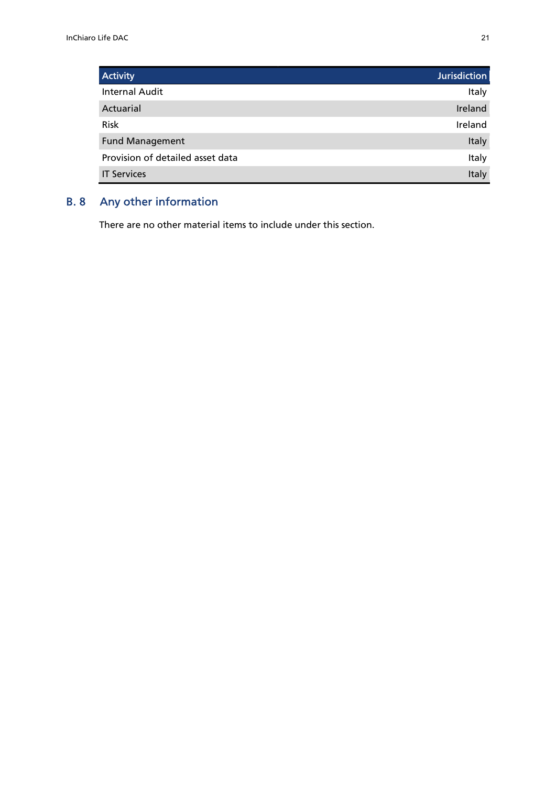| <b>Activity</b>                  | Jurisdiction |
|----------------------------------|--------------|
| <b>Internal Audit</b>            | Italy        |
| Actuarial                        | Ireland      |
| <b>Risk</b>                      | Ireland      |
| <b>Fund Management</b>           | <b>Italy</b> |
| Provision of detailed asset data | Italy        |
| <b>IT Services</b>               | Italy        |

# B. 8 Any other information

There are no other material items to include under this section.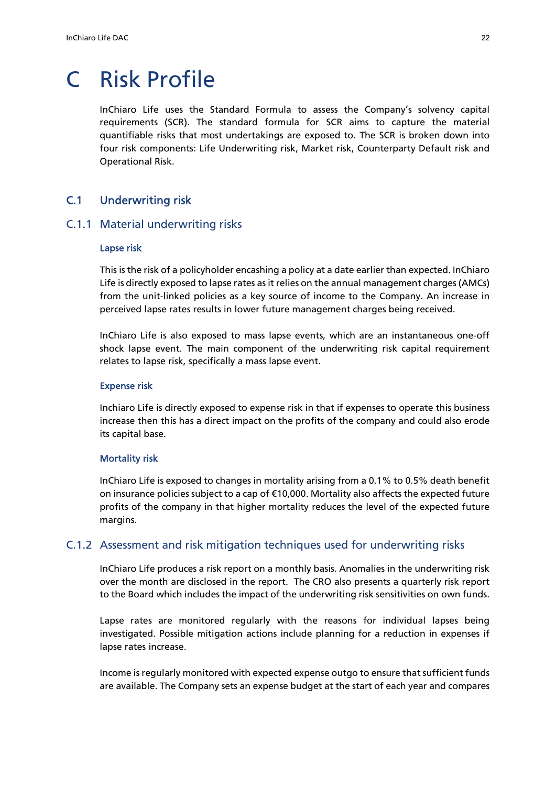# C Risk Profile

InChiaro Life uses the Standard Formula to assess the Company's solvency capital requirements (SCR). The standard formula for SCR aims to capture the material quantifiable risks that most undertakings are exposed to. The SCR is broken down into four risk components: Life Underwriting risk, Market risk, Counterparty Default risk and Operational Risk.

# C.1 Underwriting risk

### C.1.1 Material underwriting risks

#### Lapse risk

This is the risk of a policyholder encashing a policy at a date earlier than expected. InChiaro Life is directly exposed to lapse rates as it relies on the annual management charges (AMCs) from the unit-linked policies as a key source of income to the Company. An increase in perceived lapse rates results in lower future management charges being received.

InChiaro Life is also exposed to mass lapse events, which are an instantaneous one-off shock lapse event. The main component of the underwriting risk capital requirement relates to lapse risk, specifically a mass lapse event.

#### Expense risk

Inchiaro Life is directly exposed to expense risk in that if expenses to operate this business increase then this has a direct impact on the profits of the company and could also erode its capital base.

#### Mortality risk

InChiaro Life is exposed to changes in mortality arising from a 0.1% to 0.5% death benefit on insurance policies subject to a cap of €10,000. Mortality also affects the expected future profits of the company in that higher mortality reduces the level of the expected future margins.

### C.1.2 Assessment and risk mitigation techniques used for underwriting risks

InChiaro Life produces a risk report on a monthly basis. Anomalies in the underwriting risk over the month are disclosed in the report. The CRO also presents a quarterly risk report to the Board which includes the impact of the underwriting risk sensitivities on own funds.

Lapse rates are monitored regularly with the reasons for individual lapses being investigated. Possible mitigation actions include planning for a reduction in expenses if lapse rates increase.

Income is regularly monitored with expected expense outgo to ensure that sufficient funds are available. The Company sets an expense budget at the start of each year and compares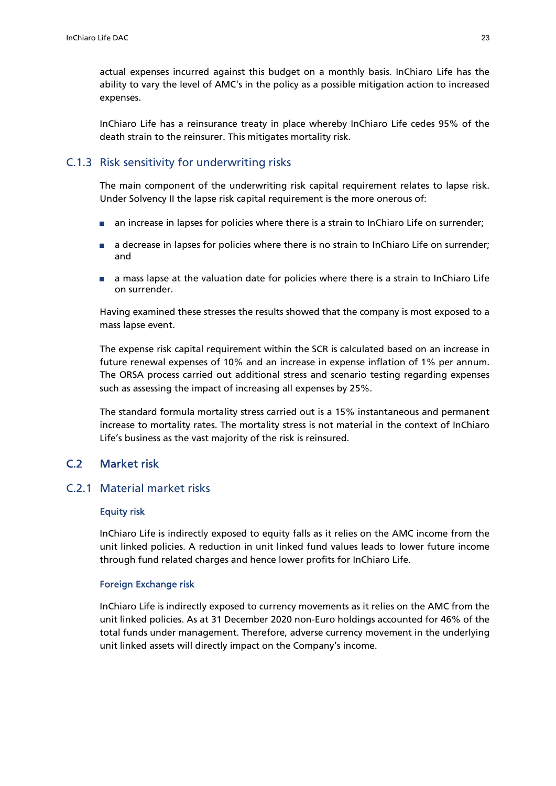actual expenses incurred against this budget on a monthly basis. InChiaro Life has the ability to vary the level of AMC's in the policy as a possible mitigation action to increased expenses.

InChiaro Life has a reinsurance treaty in place whereby InChiaro Life cedes 95% of the death strain to the reinsurer. This mitigates mortality risk.

# C.1.3 Risk sensitivity for underwriting risks

The main component of the underwriting risk capital requirement relates to lapse risk. Under Solvency II the lapse risk capital requirement is the more onerous of:

- an increase in lapses for policies where there is a strain to InChiaro Life on surrender;
- a decrease in lapses for policies where there is no strain to InChiaro Life on surrender; and
- a mass lapse at the valuation date for policies where there is a strain to InChiaro Life on surrender.

Having examined these stresses the results showed that the company is most exposed to a mass lapse event.

The expense risk capital requirement within the SCR is calculated based on an increase in future renewal expenses of 10% and an increase in expense inflation of 1% per annum. The ORSA process carried out additional stress and scenario testing regarding expenses such as assessing the impact of increasing all expenses by 25%.

The standard formula mortality stress carried out is a 15% instantaneous and permanent increase to mortality rates. The mortality stress is not material in the context of InChiaro Life's business as the vast majority of the risk is reinsured.

# C.2 Market risk

### C.2.1 Material market risks

#### Equity risk

InChiaro Life is indirectly exposed to equity falls as it relies on the AMC income from the unit linked policies. A reduction in unit linked fund values leads to lower future income through fund related charges and hence lower profits for InChiaro Life.

#### Foreign Exchange risk

InChiaro Life is indirectly exposed to currency movements as it relies on the AMC from the unit linked policies. As at 31 December 2020 non-Euro holdings accounted for 46% of the total funds under management. Therefore, adverse currency movement in the underlying unit linked assets will directly impact on the Company's income.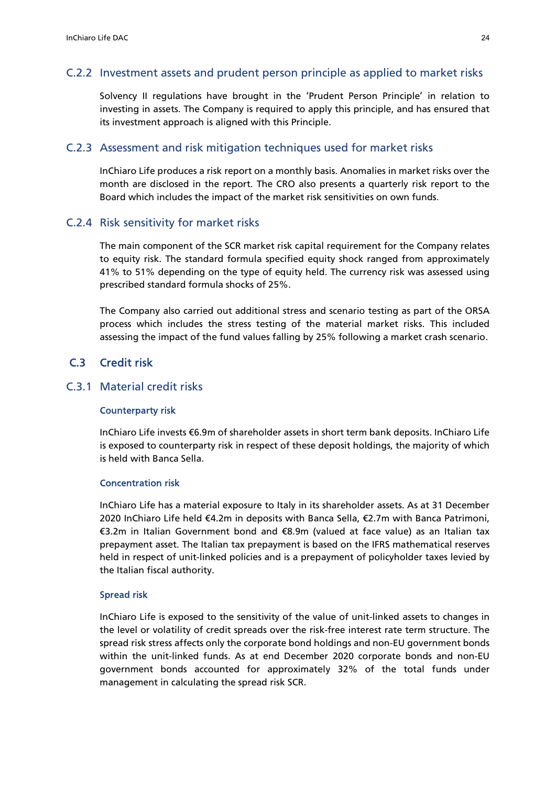# C.2.2 Investment assets and prudent person principle as applied to market risks

Solvency II regulations have brought in the 'Prudent Person Principle' in relation to investing in assets. The Company is required to apply this principle, and has ensured that its investment approach is aligned with this Principle.

### C.2.3 Assessment and risk mitigation techniques used for market risks

InChiaro Life produces a risk report on a monthly basis. Anomalies in market risks over the month are disclosed in the report. The CRO also presents a quarterly risk report to the Board which includes the impact of the market risk sensitivities on own funds.

### C.2.4 Risk sensitivity for market risks

The main component of the SCR market risk capital requirement for the Company relates to equity risk. The standard formula specified equity shock ranged from approximately 41% to 51% depending on the type of equity held. The currency risk was assessed using prescribed standard formula shocks of 25%.

The Company also carried out additional stress and scenario testing as part of the ORSA process which includes the stress testing of the material market risks. This included assessing the impact of the fund values falling by 25% following a market crash scenario.

# C.3 Credit risk

# C.3.1 Material credit risks

#### Counterparty risk

InChiaro Life invests €6.9m of shareholder assets in short term bank deposits. InChiaro Life is exposed to counterparty risk in respect of these deposit holdings, the majority of which is held with Banca Sella.

#### Concentration risk

InChiaro Life has a material exposure to Italy in its shareholder assets. As at 31 December 2020 InChiaro Life held €4.2m in deposits with Banca Sella, €2.7m with Banca Patrimoni, €3.2m in Italian Government bond and €8.9m (valued at face value) as an Italian tax prepayment asset. The Italian tax prepayment is based on the IFRS mathematical reserves held in respect of unit-linked policies and is a prepayment of policyholder taxes levied by the Italian fiscal authority.

#### Spread risk

InChiaro Life is exposed to the sensitivity of the value of unit-linked assets to changes in the level or volatility of credit spreads over the risk-free interest rate term structure. The spread risk stress affects only the corporate bond holdings and non-EU government bonds within the unit-linked funds. As at end December 2020 corporate bonds and non-EU government bonds accounted for approximately 32% of the total funds under management in calculating the spread risk SCR.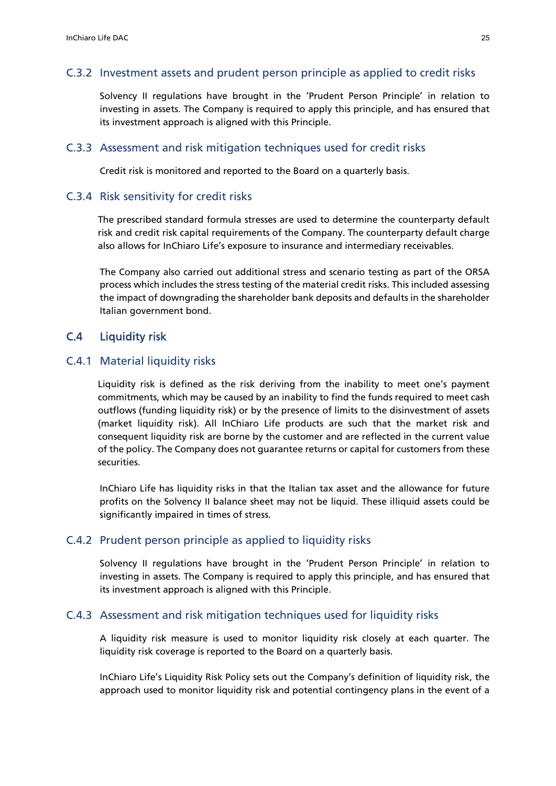# C.3.2 Investment assets and prudent person principle as applied to credit risks

Solvency II regulations have brought in the 'Prudent Person Principle' in relation to investing in assets. The Company is required to apply this principle, and has ensured that its investment approach is aligned with this Principle.

### C.3.3 Assessment and risk mitigation techniques used for credit risks

Credit risk is monitored and reported to the Board on a quarterly basis.

### C.3.4 Risk sensitivity for credit risks

The prescribed standard formula stresses are used to determine the counterparty default risk and credit risk capital requirements of the Company. The counterparty default charge also allows for InChiaro Life's exposure to insurance and intermediary receivables.

The Company also carried out additional stress and scenario testing as part of the ORSA process which includes the stress testing of the material credit risks. This included assessing the impact of downgrading the shareholder bank deposits and defaults in the shareholder Italian government bond.

# C.4 Liquidity risk

#### C.4.1 Material liquidity risks

Liquidity risk is defined as the risk deriving from the inability to meet one's payment commitments, which may be caused by an inability to find the funds required to meet cash outflows (funding liquidity risk) or by the presence of limits to the disinvestment of assets (market liquidity risk). All InChiaro Life products are such that the market risk and consequent liquidity risk are borne by the customer and are reflected in the current value of the policy. The Company does not guarantee returns or capital for customers from these securities.

InChiaro Life has liquidity risks in that the Italian tax asset and the allowance for future profits on the Solvency II balance sheet may not be liquid. These illiquid assets could be significantly impaired in times of stress.

#### C.4.2 Prudent person principle as applied to liquidity risks

Solvency II regulations have brought in the 'Prudent Person Principle' in relation to investing in assets. The Company is required to apply this principle, and has ensured that its investment approach is aligned with this Principle.

# C.4.3 Assessment and risk mitigation techniques used for liquidity risks

A liquidity risk measure is used to monitor liquidity risk closely at each quarter. The liquidity risk coverage is reported to the Board on a quarterly basis.

InChiaro Life's Liquidity Risk Policy sets out the Company's definition of liquidity risk, the approach used to monitor liquidity risk and potential contingency plans in the event of a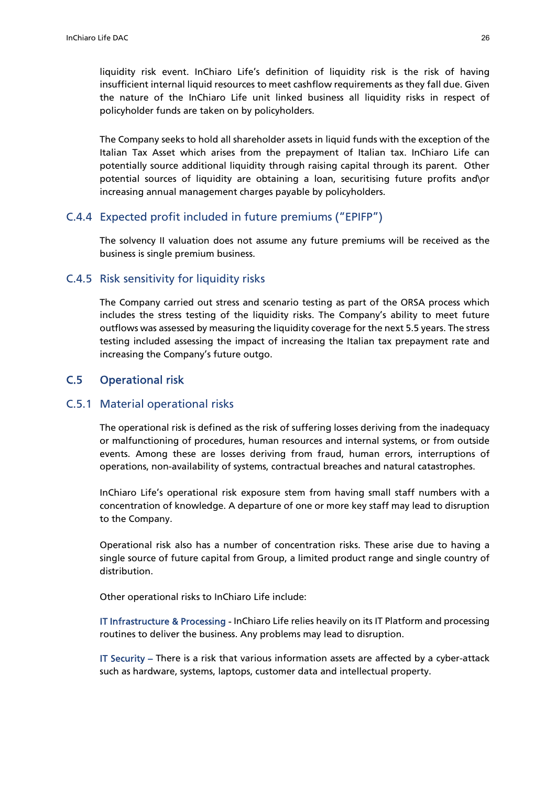liquidity risk event. InChiaro Life's definition of liquidity risk is the risk of having insufficient internal liquid resources to meet cashflow requirements as they fall due. Given the nature of the InChiaro Life unit linked business all liquidity risks in respect of policyholder funds are taken on by policyholders.

The Company seeks to hold all shareholder assets in liquid funds with the exception of the Italian Tax Asset which arises from the prepayment of Italian tax. InChiaro Life can potentially source additional liquidity through raising capital through its parent. Other potential sources of liquidity are obtaining a loan, securitising future profits and\or increasing annual management charges payable by policyholders.

### C.4.4 Expected profit included in future premiums ("EPIFP")

The solvency II valuation does not assume any future premiums will be received as the business is single premium business.

#### C.4.5 Risk sensitivity for liquidity risks

The Company carried out stress and scenario testing as part of the ORSA process which includes the stress testing of the liquidity risks. The Company's ability to meet future outflows was assessed by measuring the liquidity coverage for the next 5.5 years. The stress testing included assessing the impact of increasing the Italian tax prepayment rate and increasing the Company's future outgo.

# C.5 Operational risk

#### C.5.1 Material operational risks

The operational risk is defined as the risk of suffering losses deriving from the inadequacy or malfunctioning of procedures, human resources and internal systems, or from outside events. Among these are losses deriving from fraud, human errors, interruptions of operations, non-availability of systems, contractual breaches and natural catastrophes.

InChiaro Life's operational risk exposure stem from having small staff numbers with a concentration of knowledge. A departure of one or more key staff may lead to disruption to the Company.

Operational risk also has a number of concentration risks. These arise due to having a single source of future capital from Group, a limited product range and single country of distribution.

Other operational risks to InChiaro Life include:

IT Infrastructure & Processing - InChiaro Life relies heavily on its IT Platform and processing routines to deliver the business. Any problems may lead to disruption.

IT Security – There is a risk that various information assets are affected by a cyber-attack such as hardware, systems, laptops, customer data and intellectual property.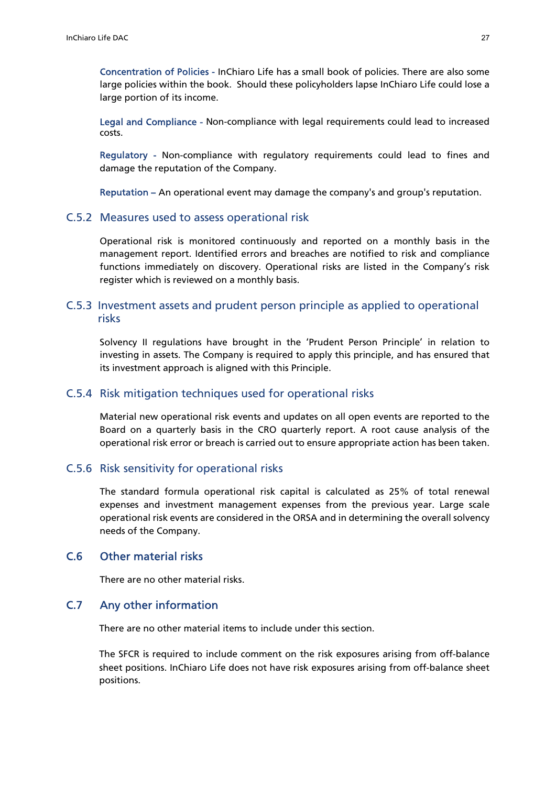Concentration of Policies - InChiaro Life has a small book of policies. There are also some large policies within the book. Should these policyholders lapse InChiaro Life could lose a large portion of its income.

Legal and Compliance - Non-compliance with legal requirements could lead to increased costs.

Regulatory - Non-compliance with regulatory requirements could lead to fines and damage the reputation of the Company.

Reputation – An operational event may damage the company's and group's reputation.

#### C.5.2 Measures used to assess operational risk

Operational risk is monitored continuously and reported on a monthly basis in the management report. Identified errors and breaches are notified to risk and compliance functions immediately on discovery. Operational risks are listed in the Company's risk register which is reviewed on a monthly basis.

# C.5.3 Investment assets and prudent person principle as applied to operational risks

Solvency II regulations have brought in the 'Prudent Person Principle' in relation to investing in assets. The Company is required to apply this principle, and has ensured that its investment approach is aligned with this Principle.

## C.5.4 Risk mitigation techniques used for operational risks

Material new operational risk events and updates on all open events are reported to the Board on a quarterly basis in the CRO quarterly report. A root cause analysis of the operational risk error or breach is carried out to ensure appropriate action has been taken.

#### C.5.6 Risk sensitivity for operational risks

The standard formula operational risk capital is calculated as 25% of total renewal expenses and investment management expenses from the previous year. Large scale operational risk events are considered in the ORSA and in determining the overall solvency needs of the Company.

# C.6 Other material risks

There are no other material risks.

### C.7 Any other information

There are no other material items to include under this section.

The SFCR is required to include comment on the risk exposures arising from off-balance sheet positions. InChiaro Life does not have risk exposures arising from off-balance sheet positions.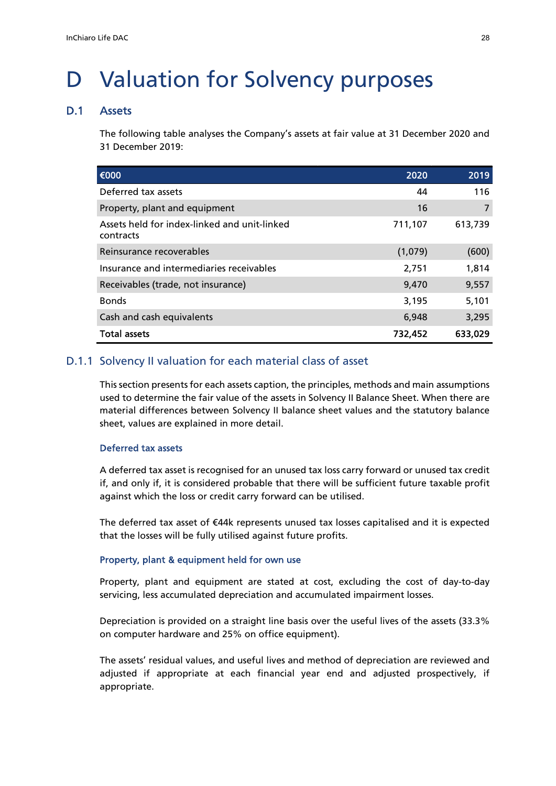# D Valuation for Solvency purposes

#### D.1 Assets

The following table analyses the Company's assets at fair value at 31 December 2020 and 31 December 2019:

| €000                                                      | 2020    | 2019    |
|-----------------------------------------------------------|---------|---------|
| Deferred tax assets                                       | 44      | 116     |
| Property, plant and equipment                             | 16      | 7       |
| Assets held for index-linked and unit-linked<br>contracts | 711,107 | 613,739 |
| Reinsurance recoverables                                  | (1,079) | (600)   |
| Insurance and intermediaries receivables                  | 2,751   | 1,814   |
| Receivables (trade, not insurance)                        | 9,470   | 9,557   |
| <b>Bonds</b>                                              | 3,195   | 5,101   |
| Cash and cash equivalents                                 | 6,948   | 3,295   |
| <b>Total assets</b>                                       | 732,452 | 633,029 |

# D.1.1 Solvency II valuation for each material class of asset

This section presents for each assets caption, the principles, methods and main assumptions used to determine the fair value of the assets in Solvency II Balance Sheet. When there are material differences between Solvency II balance sheet values and the statutory balance sheet, values are explained in more detail.

#### Deferred tax assets

A deferred tax asset is recognised for an unused tax loss carry forward or unused tax credit if, and only if, it is considered probable that there will be sufficient future taxable profit against which the loss or credit carry forward can be utilised.

The deferred tax asset of €44k represents unused tax losses capitalised and it is expected that the losses will be fully utilised against future profits.

#### Property, plant & equipment held for own use

Property, plant and equipment are stated at cost, excluding the cost of day-to-day servicing, less accumulated depreciation and accumulated impairment losses.

Depreciation is provided on a straight line basis over the useful lives of the assets (33.3% on computer hardware and 25% on office equipment).

The assets' residual values, and useful lives and method of depreciation are reviewed and adjusted if appropriate at each financial year end and adjusted prospectively, if appropriate.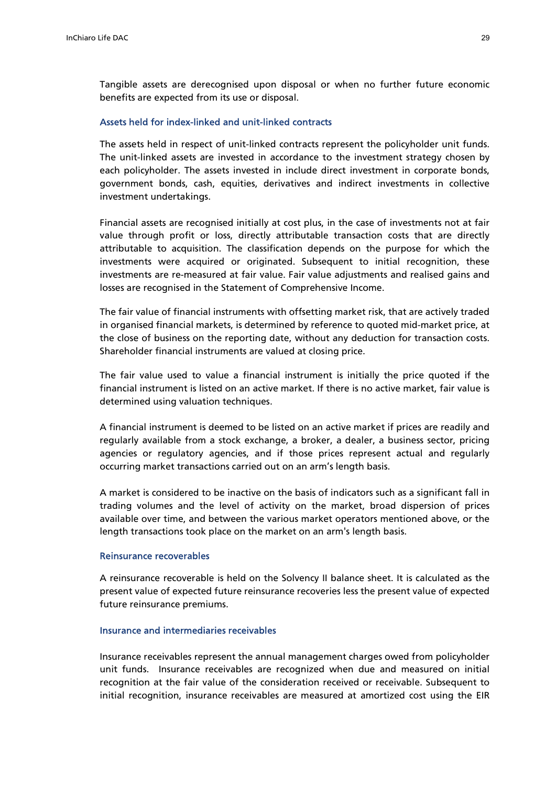Tangible assets are derecognised upon disposal or when no further future economic benefits are expected from its use or disposal.

#### Assets held for index-linked and unit-linked contracts

The assets held in respect of unit-linked contracts represent the policyholder unit funds. The unit-linked assets are invested in accordance to the investment strategy chosen by each policyholder. The assets invested in include direct investment in corporate bonds, government bonds, cash, equities, derivatives and indirect investments in collective investment undertakings.

Financial assets are recognised initially at cost plus, in the case of investments not at fair value through profit or loss, directly attributable transaction costs that are directly attributable to acquisition. The classification depends on the purpose for which the investments were acquired or originated. Subsequent to initial recognition, these investments are re-measured at fair value. Fair value adjustments and realised gains and losses are recognised in the Statement of Comprehensive Income.

The fair value of financial instruments with offsetting market risk, that are actively traded in organised financial markets, is determined by reference to quoted mid-market price, at the close of business on the reporting date, without any deduction for transaction costs. Shareholder financial instruments are valued at closing price.

The fair value used to value a financial instrument is initially the price quoted if the financial instrument is listed on an active market. If there is no active market, fair value is determined using valuation techniques.

A financial instrument is deemed to be listed on an active market if prices are readily and regularly available from a stock exchange, a broker, a dealer, a business sector, pricing agencies or regulatory agencies, and if those prices represent actual and regularly occurring market transactions carried out on an arm's length basis.

A market is considered to be inactive on the basis of indicators such as a significant fall in trading volumes and the level of activity on the market, broad dispersion of prices available over time, and between the various market operators mentioned above, or the length transactions took place on the market on an arm's length basis.

#### Reinsurance recoverables

A reinsurance recoverable is held on the Solvency II balance sheet. It is calculated as the present value of expected future reinsurance recoveries less the present value of expected future reinsurance premiums.

#### Insurance and intermediaries receivables

Insurance receivables represent the annual management charges owed from policyholder unit funds. Insurance receivables are recognized when due and measured on initial recognition at the fair value of the consideration received or receivable. Subsequent to initial recognition, insurance receivables are measured at amortized cost using the EIR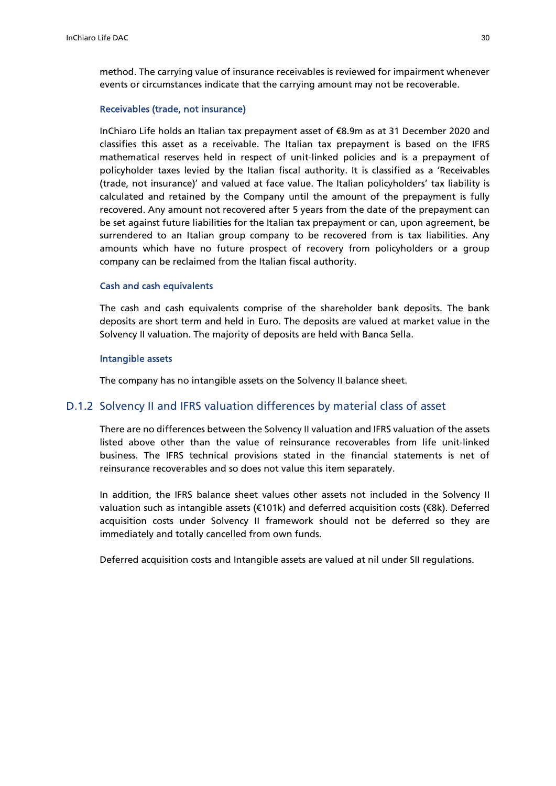method. The carrying value of insurance receivables is reviewed for impairment whenever events or circumstances indicate that the carrying amount may not be recoverable.

#### Receivables (trade, not insurance)

InChiaro Life holds an Italian tax prepayment asset of €8.9m as at 31 December 2020 and classifies this asset as a receivable. The Italian tax prepayment is based on the IFRS mathematical reserves held in respect of unit-linked policies and is a prepayment of policyholder taxes levied by the Italian fiscal authority. It is classified as a 'Receivables (trade, not insurance)' and valued at face value. The Italian policyholders' tax liability is calculated and retained by the Company until the amount of the prepayment is fully recovered. Any amount not recovered after 5 years from the date of the prepayment can be set against future liabilities for the Italian tax prepayment or can, upon agreement, be surrendered to an Italian group company to be recovered from is tax liabilities. Any amounts which have no future prospect of recovery from policyholders or a group company can be reclaimed from the Italian fiscal authority.

#### Cash and cash equivalents

The cash and cash equivalents comprise of the shareholder bank deposits. The bank deposits are short term and held in Euro. The deposits are valued at market value in the Solvency II valuation. The majority of deposits are held with Banca Sella.

#### Intangible assets

The company has no intangible assets on the Solvency II balance sheet.

### D.1.2 Solvency II and IFRS valuation differences by material class of asset

There are no differences between the Solvency II valuation and IFRS valuation of the assets listed above other than the value of reinsurance recoverables from life unit-linked business. The IFRS technical provisions stated in the financial statements is net of reinsurance recoverables and so does not value this item separately.

In addition, the IFRS balance sheet values other assets not included in the Solvency II valuation such as intangible assets (€101k) and deferred acquisition costs (€8k). Deferred acquisition costs under Solvency II framework should not be deferred so they are immediately and totally cancelled from own funds.

Deferred acquisition costs and Intangible assets are valued at nil under SII regulations.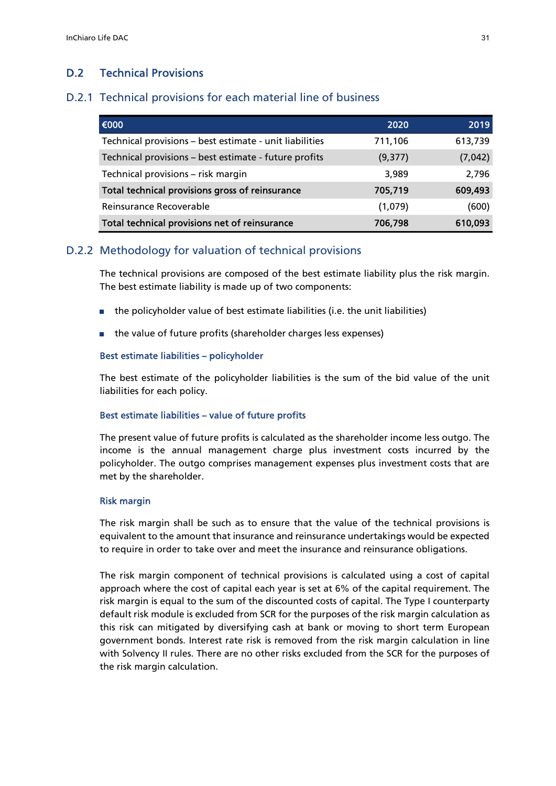# D.2 Technical Provisions

### D.2.1 Technical provisions for each material line of business

| €000                                                    | 2020     | 2019    |
|---------------------------------------------------------|----------|---------|
| Technical provisions - best estimate - unit liabilities | 711,106  | 613,739 |
| Technical provisions - best estimate - future profits   | (9, 377) | (7,042) |
| Technical provisions - risk margin                      | 3,989    | 2,796   |
| Total technical provisions gross of reinsurance         | 705,719  | 609,493 |
| Reinsurance Recoverable                                 | (1,079)  | (600)   |
| Total technical provisions net of reinsurance           | 706,798  | 610,093 |

### D.2.2 Methodology for valuation of technical provisions

The technical provisions are composed of the best estimate liability plus the risk margin. The best estimate liability is made up of two components:

- the policyholder value of best estimate liabilities (i.e. the unit liabilities)
- the value of future profits (shareholder charges less expenses)

#### Best estimate liabilities – policyholder

The best estimate of the policyholder liabilities is the sum of the bid value of the unit liabilities for each policy.

#### Best estimate liabilities – value of future profits

The present value of future profits is calculated as the shareholder income less outgo. The income is the annual management charge plus investment costs incurred by the policyholder. The outgo comprises management expenses plus investment costs that are met by the shareholder.

#### Risk margin

The risk margin shall be such as to ensure that the value of the technical provisions is equivalent to the amount that insurance and reinsurance undertakings would be expected to require in order to take over and meet the insurance and reinsurance obligations.

The risk margin component of technical provisions is calculated using a cost of capital approach where the cost of capital each year is set at 6% of the capital requirement. The risk margin is equal to the sum of the discounted costs of capital. The Type I counterparty default risk module is excluded from SCR for the purposes of the risk margin calculation as this risk can mitigated by diversifying cash at bank or moving to short term European government bonds. Interest rate risk is removed from the risk margin calculation in line with Solvency II rules. There are no other risks excluded from the SCR for the purposes of the risk margin calculation.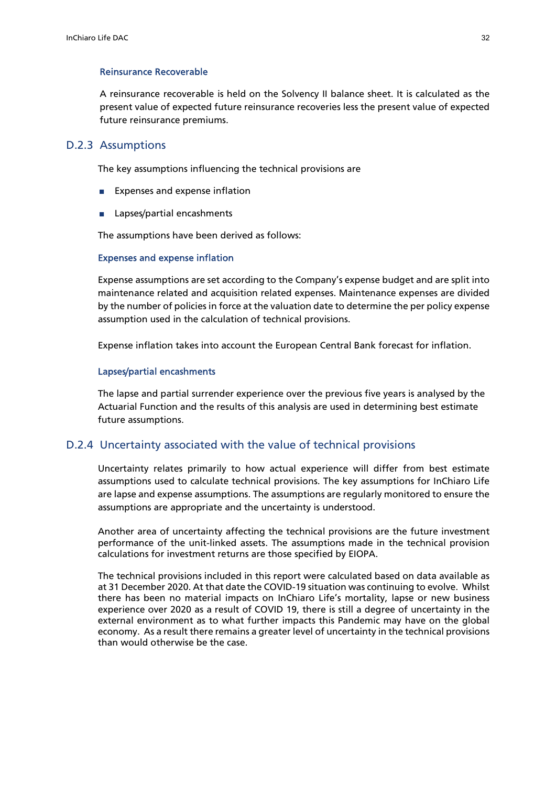#### Reinsurance Recoverable

A reinsurance recoverable is held on the Solvency II balance sheet. It is calculated as the present value of expected future reinsurance recoveries less the present value of expected future reinsurance premiums.

#### D.2.3 Assumptions

The key assumptions influencing the technical provisions are

- Expenses and expense inflation
- Lapses/partial encashments

The assumptions have been derived as follows:

#### Expenses and expense inflation

Expense assumptions are set according to the Company's expense budget and are split into maintenance related and acquisition related expenses. Maintenance expenses are divided by the number of policies in force at the valuation date to determine the per policy expense assumption used in the calculation of technical provisions.

Expense inflation takes into account the European Central Bank forecast for inflation.

#### Lapses/partial encashments

The lapse and partial surrender experience over the previous five years is analysed by the Actuarial Function and the results of this analysis are used in determining best estimate future assumptions.

#### D.2.4 Uncertainty associated with the value of technical provisions

Uncertainty relates primarily to how actual experience will differ from best estimate assumptions used to calculate technical provisions. The key assumptions for InChiaro Life are lapse and expense assumptions. The assumptions are regularly monitored to ensure the assumptions are appropriate and the uncertainty is understood.

Another area of uncertainty affecting the technical provisions are the future investment performance of the unit-linked assets. The assumptions made in the technical provision calculations for investment returns are those specified by EIOPA.

The technical provisions included in this report were calculated based on data available as at 31 December 2020. At that date the COVID-19 situation was continuing to evolve. Whilst there has been no material impacts on InChiaro Life's mortality, lapse or new business experience over 2020 as a result of COVID 19, there is still a degree of uncertainty in the external environment as to what further impacts this Pandemic may have on the global economy. As a result there remains a greater level of uncertainty in the technical provisions than would otherwise be the case.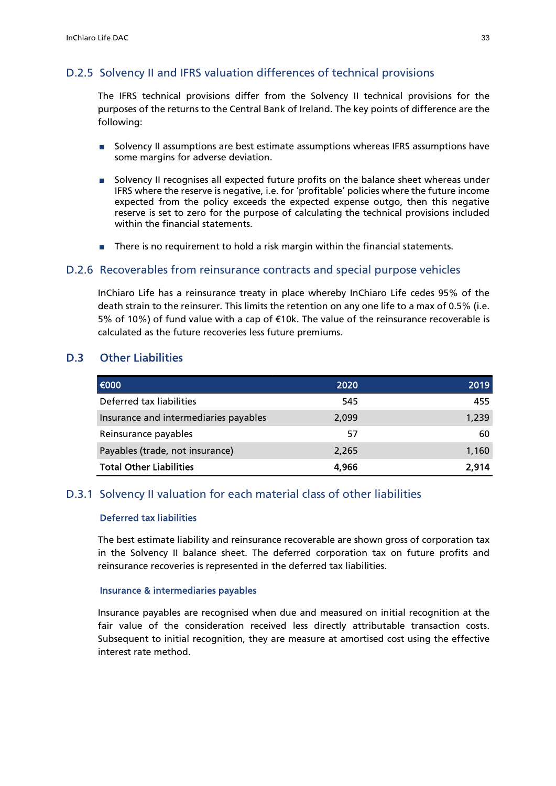# D.2.5 Solvency II and IFRS valuation differences of technical provisions

The IFRS technical provisions differ from the Solvency II technical provisions for the purposes of the returns to the Central Bank of Ireland. The key points of difference are the following:

- Solvency II assumptions are best estimate assumptions whereas IFRS assumptions have some margins for adverse deviation.
- Solvency II recognises all expected future profits on the balance sheet whereas under IFRS where the reserve is negative, i.e. for 'profitable' policies where the future income expected from the policy exceeds the expected expense outgo, then this negative reserve is set to zero for the purpose of calculating the technical provisions included within the financial statements.
- There is no requirement to hold a risk margin within the financial statements.

### D.2.6 Recoverables from reinsurance contracts and special purpose vehicles

InChiaro Life has a reinsurance treaty in place whereby InChiaro Life cedes 95% of the death strain to the reinsurer. This limits the retention on any one life to a max of 0.5% (i.e. 5% of 10%) of fund value with a cap of €10k. The value of the reinsurance recoverable is calculated as the future recoveries less future premiums.

# D.3 Other Liabilities

| 1€000                                 | 2020  | 2019  |
|---------------------------------------|-------|-------|
| Deferred tax liabilities              | 545   | 455   |
| Insurance and intermediaries payables | 2,099 | 1,239 |
| Reinsurance payables                  | 57    | 60    |
| Payables (trade, not insurance)       | 2.265 | 1,160 |
| <b>Total Other Liabilities</b>        | 4,966 | 2.914 |

#### D.3.1 Solvency II valuation for each material class of other liabilities

### Deferred tax liabilities

The best estimate liability and reinsurance recoverable are shown gross of corporation tax in the Solvency II balance sheet. The deferred corporation tax on future profits and reinsurance recoveries is represented in the deferred tax liabilities.

#### Insurance & intermediaries payables

Insurance payables are recognised when due and measured on initial recognition at the fair value of the consideration received less directly attributable transaction costs. Subsequent to initial recognition, they are measure at amortised cost using the effective interest rate method.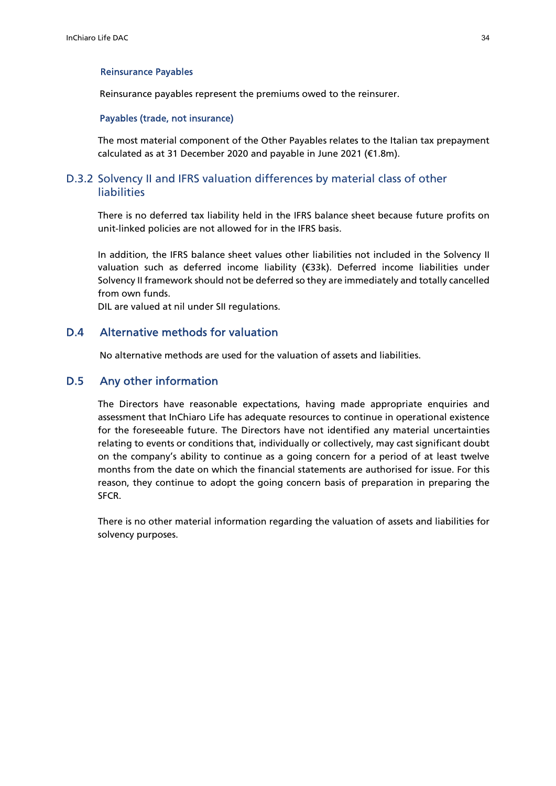#### Reinsurance Payables

Reinsurance payables represent the premiums owed to the reinsurer.

#### Payables (trade, not insurance)

The most material component of the Other Payables relates to the Italian tax prepayment calculated as at 31 December 2020 and payable in June 2021 (€1.8m).

# D.3.2 Solvency II and IFRS valuation differences by material class of other liabilities

There is no deferred tax liability held in the IFRS balance sheet because future profits on unit-linked policies are not allowed for in the IFRS basis.

In addition, the IFRS balance sheet values other liabilities not included in the Solvency II valuation such as deferred income liability (€33k). Deferred income liabilities under Solvency II framework should not be deferred so they are immediately and totally cancelled from own funds.

DIL are valued at nil under SII regulations.

# D.4 Alternative methods for valuation

No alternative methods are used for the valuation of assets and liabilities.

#### D.5 Any other information

The Directors have reasonable expectations, having made appropriate enquiries and assessment that InChiaro Life has adequate resources to continue in operational existence for the foreseeable future. The Directors have not identified any material uncertainties relating to events or conditions that, individually or collectively, may cast significant doubt on the company's ability to continue as a going concern for a period of at least twelve months from the date on which the financial statements are authorised for issue. For this reason, they continue to adopt the going concern basis of preparation in preparing the SFCR.

There is no other material information regarding the valuation of assets and liabilities for solvency purposes.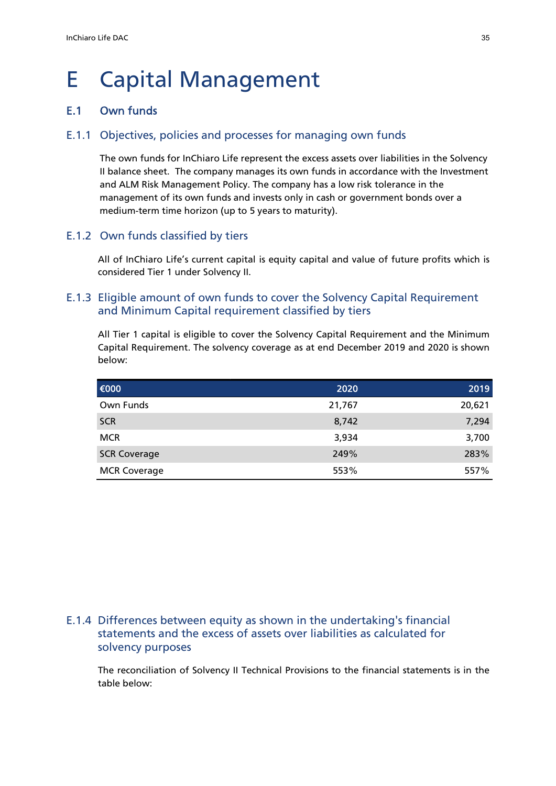# E Capital Management

# E.1 Own funds

# E.1.1 Objectives, policies and processes for managing own funds

The own funds for InChiaro Life represent the excess assets over liabilities in the Solvency II balance sheet. The company manages its own funds in accordance with the Investment and ALM Risk Management Policy. The company has a low risk tolerance in the management of its own funds and invests only in cash or government bonds over a medium-term time horizon (up to 5 years to maturity).

# E.1.2 Own funds classified by tiers

All of InChiaro Life's current capital is equity capital and value of future profits which is considered Tier 1 under Solvency II.

# E.1.3 Eligible amount of own funds to cover the Solvency Capital Requirement and Minimum Capital requirement classified by tiers

All Tier 1 capital is eligible to cover the Solvency Capital Requirement and the Minimum Capital Requirement. The solvency coverage as at end December 2019 and 2020 is shown below:

| 1€000               | 2020   | 2019   |
|---------------------|--------|--------|
| Own Funds           | 21,767 | 20,621 |
| <b>SCR</b>          | 8,742  | 7,294  |
| <b>MCR</b>          | 3,934  | 3,700  |
| <b>SCR Coverage</b> | 249%   | 283%   |
| <b>MCR Coverage</b> | 553%   | 557%   |

# E.1.4 Differences between equity as shown in the undertaking's financial statements and the excess of assets over liabilities as calculated for solvency purposes

The reconciliation of Solvency II Technical Provisions to the financial statements is in the table below: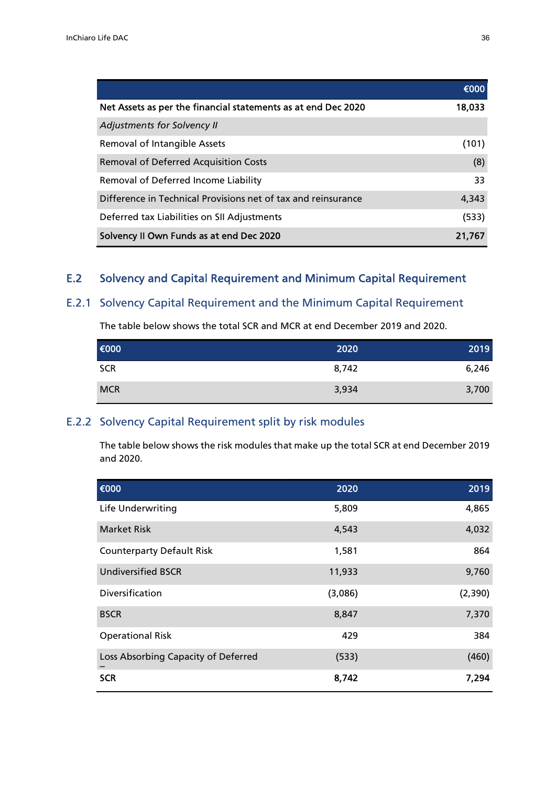|                                                               | €000   |
|---------------------------------------------------------------|--------|
| Net Assets as per the financial statements as at end Dec 2020 | 18,033 |
| Adjustments for Solvency II                                   |        |
| Removal of Intangible Assets                                  | (101)  |
| <b>Removal of Deferred Acquisition Costs</b>                  | (8)    |
| Removal of Deferred Income Liability                          | 33     |
| Difference in Technical Provisions net of tax and reinsurance | 4,343  |
| Deferred tax Liabilities on SII Adjustments                   | (533)  |
| Solvency II Own Funds as at end Dec 2020                      | 21,767 |

# E.2 Solvency and Capital Requirement and Minimum Capital Requirement

# E.2.1 Solvency Capital Requirement and the Minimum Capital Requirement

The table below shows the total SCR and MCR at end December 2019 and 2020.

| €000       | 2020  | 2019  |
|------------|-------|-------|
| <b>SCR</b> | 8,742 | 6,246 |
| <b>MCR</b> | 3,934 | 3,700 |

# E.2.2 Solvency Capital Requirement split by risk modules

The table below shows the risk modules that make up the total SCR at end December 2019 and 2020.

| €000                                | 2020    | 2019    |
|-------------------------------------|---------|---------|
| Life Underwriting                   | 5,809   | 4,865   |
| <b>Market Risk</b>                  | 4,543   | 4,032   |
| <b>Counterparty Default Risk</b>    | 1,581   | 864     |
| <b>Undiversified BSCR</b>           | 11,933  | 9,760   |
| Diversification                     | (3,086) | (2,390) |
| <b>BSCR</b>                         | 8,847   | 7,370   |
| <b>Operational Risk</b>             | 429     | 384     |
| Loss Absorbing Capacity of Deferred | (533)   | (460)   |
| <b>SCR</b>                          | 8,742   | 7,294   |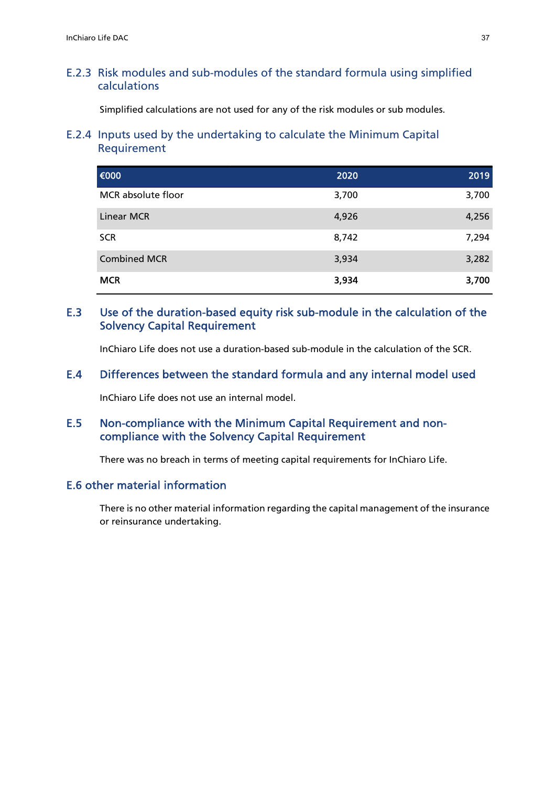# E.2.3 Risk modules and sub-modules of the standard formula using simplified calculations

Simplified calculations are not used for any of the risk modules or sub modules.

# E.2.4 Inputs used by the undertaking to calculate the Minimum Capital Requirement

| €000                | 2020  | 2019  |
|---------------------|-------|-------|
| MCR absolute floor  | 3,700 | 3,700 |
| <b>Linear MCR</b>   | 4,926 | 4,256 |
| <b>SCR</b>          | 8,742 | 7,294 |
| <b>Combined MCR</b> | 3,934 | 3,282 |
| <b>MCR</b>          | 3,934 | 3,700 |

# E.3 Use of the duration-based equity risk sub-module in the calculation of the Solvency Capital Requirement

InChiaro Life does not use a duration-based sub-module in the calculation of the SCR.

# E.4 Differences between the standard formula and any internal model used

InChiaro Life does not use an internal model.

# E.5 Non-compliance with the Minimum Capital Requirement and noncompliance with the Solvency Capital Requirement

There was no breach in terms of meeting capital requirements for InChiaro Life.

# E.6 other material information

There is no other material information regarding the capital management of the insurance or reinsurance undertaking.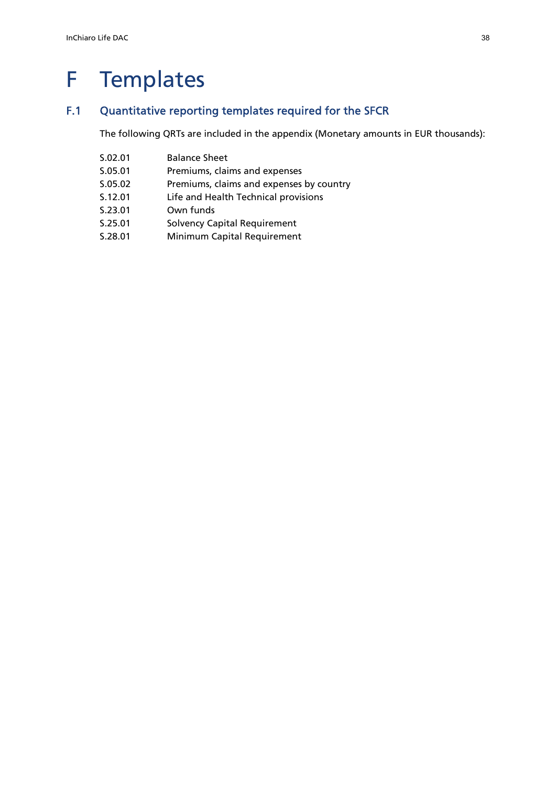# F Templates

# F.1 Quantitative reporting templates required for the SFCR

The following QRTs are included in the appendix (Monetary amounts in EUR thousands):

S.02.01 Balance Sheet S.05.01 Premiums, claims and expenses S.05.02 Premiums, claims and expenses by country S.12.01 Life and Health Technical provisions S.23.01 Own funds S.25.01 Solvency Capital Requirement S.28.01 Minimum Capital Requirement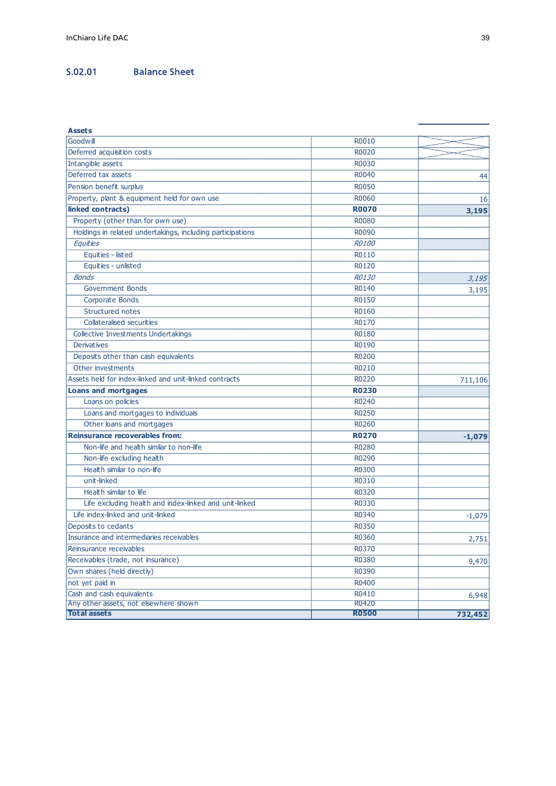# S.02.01 Balance Sheet

| InChiaro Life DAC<br>S.02.01<br><b>Balance Sheet</b>               |                       | 39       |
|--------------------------------------------------------------------|-----------------------|----------|
|                                                                    |                       |          |
|                                                                    |                       |          |
|                                                                    |                       |          |
|                                                                    |                       |          |
|                                                                    |                       |          |
| <b>Assets</b>                                                      |                       |          |
| Goodwill                                                           | R0010                 |          |
| Deferred acquisition costs                                         | R0020                 |          |
| Intangible assets                                                  | R0030                 |          |
| Deferred tax assets                                                | R0040                 | 44       |
| Pension benefit surplus                                            | R0050                 |          |
| Property, plant & equipment held for own use<br>linked contracts)  | R0060<br><b>R0070</b> | 16       |
| Property (other than for own use)                                  | R0080                 | 3,195    |
| Holdings in related undertakings, including participations         | R0090                 |          |
| Equities                                                           | R0100                 |          |
| Equities - listed                                                  | R0110                 |          |
| Equities - unlisted                                                | R0120                 |          |
| <b>Bonds</b>                                                       | R0130                 | 3,195    |
| <b>Government Bonds</b>                                            | R0140                 | 3,195    |
| Corporate Bonds                                                    | R0150                 |          |
| Structured notes                                                   | R0160                 |          |
| Collateralised securities                                          | R0170                 |          |
| Collective Investments Undertakings                                | R0180                 |          |
| <b>Derivatives</b>                                                 | R0190                 |          |
| Deposits other than cash equivalents                               | R0200                 |          |
| Other investments                                                  | R0210                 |          |
| Assets held for index-linked and unit-linked contracts             | R0220                 | 711,106  |
| <b>Loans and mortgages</b>                                         | <b>R0230</b>          |          |
| Loans on policies                                                  | R0240                 |          |
| Loans and mortgages to individuals                                 | R0250                 |          |
| Other loans and mortgages<br>Reinsurance recoverables from:        | R0260                 |          |
| Non-life and health similar to non-life                            | <b>R0270</b><br>R0280 | $-1,079$ |
| Non-life excluding health                                          | R0290                 |          |
| Health similar to non-life                                         | R0300                 |          |
| unit-linked                                                        | R0310                 |          |
| Health similar to life                                             | R0320                 |          |
| Life excluding health and index-linked and unit-linked             | R0330                 |          |
| Life index-linked and unit-linked                                  | R0340                 | $-1,079$ |
| Deposits to cedants                                                | R0350                 |          |
| Insurance and intermediaries receivables                           | R0360                 | 2,751    |
| Reinsurance receivables                                            | R0370                 |          |
| Receivables (trade, not insurance)                                 | R0380                 | 9,470    |
|                                                                    | R0390                 |          |
| Own shares (held directly)                                         | R0400                 |          |
| not yet paid in                                                    |                       |          |
| Cash and cash equivalents<br>Any other assets, not elsewhere shown | R0410                 | 6,948    |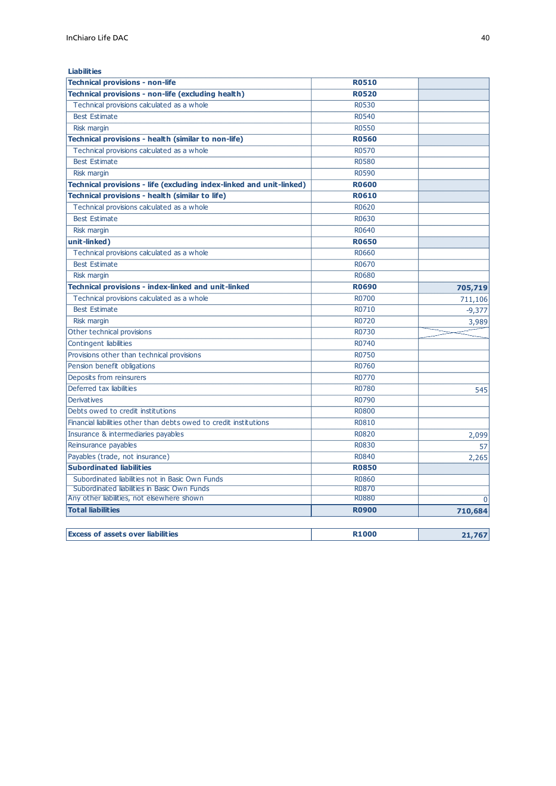| <b>Liabilities</b>                                                   |              |          |
|----------------------------------------------------------------------|--------------|----------|
| <b>Technical provisions - non-life</b>                               | <b>R0510</b> |          |
| Technical provisions - non-life (excluding health)                   | <b>R0520</b> |          |
| Technical provisions calculated as a whole                           | R0530        |          |
| <b>Best Estimate</b>                                                 | R0540        |          |
| <b>Risk margin</b>                                                   | <b>R0550</b> |          |
| Technical provisions - health (similar to non-life)                  | <b>R0560</b> |          |
| Technical provisions calculated as a whole                           | R0570        |          |
| <b>Best Estimate</b>                                                 | <b>R0580</b> |          |
| <b>Risk margin</b>                                                   | R0590        |          |
| Technical provisions - life (excluding index-linked and unit-linked) | <b>R0600</b> |          |
| Technical provisions - health (similar to life)                      | <b>R0610</b> |          |
| Technical provisions calculated as a whole                           | R0620        |          |
| <b>Best Estimate</b>                                                 | R0630        |          |
| Risk margin                                                          | R0640        |          |
| unit-linked)                                                         | <b>R0650</b> |          |
| Technical provisions calculated as a whole                           | R0660        |          |
| <b>Best Estimate</b>                                                 | R0670        |          |
| Risk margin                                                          | R0680        |          |
| Technical provisions - index-linked and unit-linked                  | <b>R0690</b> | 705,719  |
| Technical provisions calculated as a whole                           | R0700        | 711,106  |
| <b>Best Estimate</b>                                                 | R0710        | $-9,377$ |
| <b>Risk margin</b>                                                   | R0720        | 3,989    |
| Other technical provisions                                           | R0730        |          |
| <b>Contingent liabilities</b>                                        | R0740        |          |
| Provisions other than technical provisions                           | R0750        |          |
| Pension benefit obligations                                          | R0760        |          |
| Deposits from reinsurers                                             | R0770        |          |
| Deferred tax liabilities                                             | R0780        | 545      |
| <b>Derivatives</b>                                                   | R0790        |          |
| Debts owed to credit institutions                                    | R0800        |          |
| Financial liabilities other than debts owed to credit institutions   | R0810        |          |
| Insurance & intermediaries payables                                  | R0820        | 2,099    |
| Reinsurance payables                                                 | R0830        | 57       |
| Payables (trade, not insurance)                                      | R0840        | 2,265    |
| <b>Subordinated liabilities</b>                                      | <b>R0850</b> |          |
| Subordinated liabilities not in Basic Own Funds                      | R0860        |          |
| Subordinated liabilities in Basic Own Funds                          | R0870        |          |
| Any other liabilities, not elsewhere shown                           | <b>R0880</b> | $\Omega$ |
| <b>Total liabilities</b>                                             | <b>R0900</b> | 710,684  |
|                                                                      |              |          |
| <b>Excess of assets over liabilities</b>                             | <b>R1000</b> | 21,767   |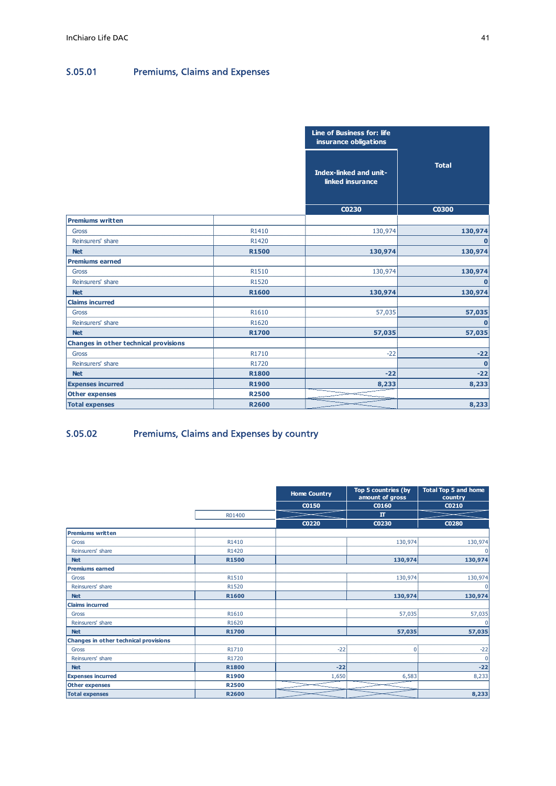# S.05.01 Premiums, Claims and Expenses

| InChiaro Life DAC                     |                                      |                |                                                     | 41                     |
|---------------------------------------|--------------------------------------|----------------|-----------------------------------------------------|------------------------|
|                                       |                                      |                |                                                     |                        |
|                                       |                                      |                |                                                     |                        |
| S.05.01                               | <b>Premiums, Claims and Expenses</b> |                |                                                     |                        |
|                                       |                                      |                |                                                     |                        |
|                                       |                                      |                |                                                     |                        |
|                                       |                                      |                |                                                     |                        |
|                                       |                                      |                |                                                     |                        |
|                                       |                                      |                | Line of Business for: life<br>insurance obligations |                        |
|                                       |                                      |                |                                                     |                        |
|                                       |                                      |                | Index-linked and unit-<br>linked insurance          | <b>Total</b>           |
|                                       |                                      |                |                                                     |                        |
|                                       |                                      |                | C0230                                               | C0300                  |
| <b>Premiums written</b>               |                                      |                |                                                     |                        |
| Gross                                 |                                      | R1410          | 130,974                                             | 130,974                |
| Reinsurers' share<br><b>Net</b>       |                                      | R1420<br>R1500 | 130,974                                             | $\mathbf 0$<br>130,974 |
| <b>Premiums earned</b>                |                                      |                |                                                     |                        |
| Gross                                 |                                      | R1510          | 130,974                                             | 130,974                |
| Reinsurers' share                     |                                      | R1520          |                                                     | $\mathbf 0$            |
| <b>Net</b>                            |                                      | R1600          | 130,974                                             | 130,974                |
| <b>Claims incurred</b>                |                                      |                |                                                     |                        |
| Gross                                 |                                      | R1610          | 57,035                                              | 57,035                 |
| Reinsurers' share                     |                                      | R1620          |                                                     | $\mathbf 0$            |
| <b>Net</b>                            |                                      | R1700          | 57,035                                              | 57,035                 |
| Changes in other technical provisions |                                      |                |                                                     |                        |
| Gross                                 |                                      | R1710          | $-22$                                               | $-22$                  |
| Reinsurers' share<br><b>Net</b>       |                                      | R1720<br>R1800 | $-22$                                               | $\bf{0}$<br>$-22$      |
| <b>Expenses incurred</b>              |                                      | R1900          | 8,233                                               | 8,233                  |
| <b>Other expenses</b>                 |                                      | <b>R2500</b>   |                                                     |                        |
| <b>Total expenses</b>                 |                                      | R2600          |                                                     | 8,233                  |

# S.05.02 Premiums, Claims and Expenses by country

|                                            |                       |                     | 57,035              | 57,035                      |
|--------------------------------------------|-----------------------|---------------------|---------------------|-----------------------------|
| Gross                                      | R1610                 |                     |                     |                             |
| Reinsurers' share                          | R1620                 |                     |                     | $\mathbf{0}$                |
| <b>Net</b>                                 | <b>R1700</b>          |                     | 57,035              | 57,035                      |
| Changes in other technical provisions      |                       |                     |                     |                             |
| Gross                                      | R1710                 |                     | $-22$               | $-22$                       |
| Reinsurers' share                          | R1720                 |                     |                     | $\mathbf{0}$                |
|                                            |                       |                     |                     |                             |
| <b>Net</b>                                 | <b>R1800</b>          |                     | $-22$               | $-22$                       |
| <b>Expenses incurred</b>                   | R1900                 |                     | 8,233               | 8,233                       |
| Other expenses                             | <b>R2500</b>          |                     |                     |                             |
| <b>Total expenses</b>                      | <b>R2600</b>          |                     |                     | 8,233                       |
|                                            |                       |                     | Top 5 countries (by | <b>Total Top 5 and home</b> |
|                                            |                       | <b>Home Country</b> | amount of gross     | country                     |
|                                            |                       |                     |                     |                             |
|                                            |                       | C0150               | C0160               | CO210                       |
|                                            | R01400                |                     | $\Pi$               |                             |
|                                            |                       | <b>CO220</b>        | C0230               | <b>CO280</b>                |
| Premiums written                           |                       |                     |                     |                             |
| Gross                                      | R1410                 |                     | 130,974             | 130,974                     |
| Reinsurers' share                          | R1420                 |                     |                     |                             |
| <b>Net</b>                                 | R1500                 |                     | 130,974             | 130,974                     |
| <b>Premiums earned</b>                     |                       |                     |                     |                             |
| Gross                                      | R1510                 |                     | 130,974             | 130,974                     |
| Reinsurers' share                          | R1520                 |                     |                     |                             |
| <b>Net</b><br><b>Claims incurred</b>       | R1600                 |                     | 130,974             | 130,974                     |
| Gross                                      | R1610                 |                     | 57,035              | 57,035                      |
|                                            |                       |                     |                     |                             |
| Reinsurers' share                          | R1620                 |                     |                     |                             |
| <b>Net</b>                                 | R1700                 |                     | 57,035              | 57,035                      |
| Changes in other technical provisions      |                       |                     |                     |                             |
| Gross                                      | R1710                 | $-22$               | 0                   | $-22$<br>$\overline{0}$     |
| Reinsurers' share                          | R1720                 |                     |                     |                             |
| <b>Net</b>                                 | R1800                 | $-22$               |                     | $-22$                       |
| <b>Expenses incurred</b><br>Other expenses | R1900<br><b>R2500</b> | 1,650               | 6,583               | 8,233                       |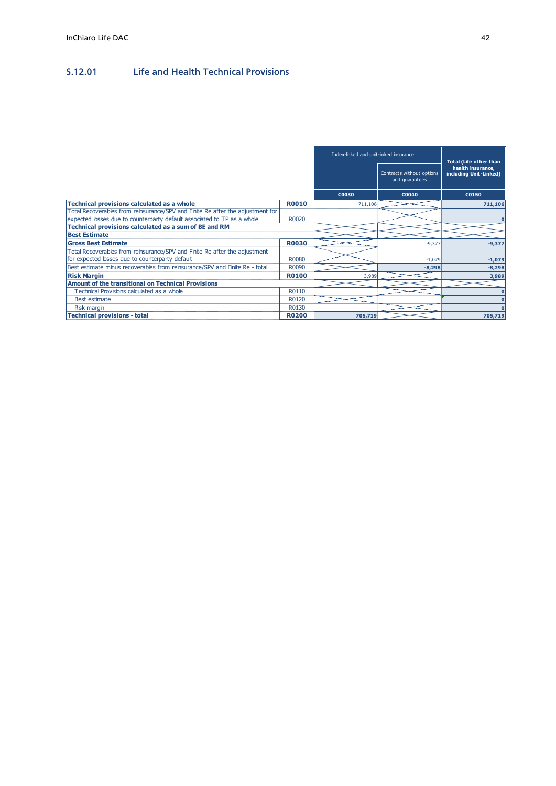# S.12.01 Life and Health Technical Provisions

| InChiaro Life DAC<br><b>Life and Health Technical Provisions</b>                                                                 |                |                                        |                                             | 42                                          |
|----------------------------------------------------------------------------------------------------------------------------------|----------------|----------------------------------------|---------------------------------------------|---------------------------------------------|
| S.12.01                                                                                                                          |                |                                        |                                             |                                             |
|                                                                                                                                  |                |                                        |                                             |                                             |
|                                                                                                                                  |                |                                        |                                             |                                             |
|                                                                                                                                  |                |                                        |                                             |                                             |
|                                                                                                                                  |                |                                        |                                             |                                             |
|                                                                                                                                  |                | Index-linked and unit-linked insurance |                                             | <b>Total (Life other than</b>               |
|                                                                                                                                  |                |                                        | Contracts without options<br>and guarantees | health insurance,<br>including Unit-Linked) |
|                                                                                                                                  |                | <b>C0030</b>                           | C0040                                       | C0150                                       |
|                                                                                                                                  |                | 711,106                                |                                             |                                             |
| <b>Technical provisions calculated as a whole</b>                                                                                | <b>R0010</b>   |                                        |                                             | 711,106                                     |
| Total Recoverables from reinsurance/SPV and Finite Re after the adjustment for                                                   |                |                                        |                                             |                                             |
|                                                                                                                                  | R0020          |                                        |                                             |                                             |
| expected losses due to counterparty default associated to TP as a whole<br>Technical provisions calculated as a sum of BE and RM |                |                                        |                                             |                                             |
| <b>Best Estimate</b><br><b>Gross Best Estimate</b>                                                                               | <b>R0030</b>   |                                        | $-9,377$                                    | $-9,377$                                    |
| Total Recoverables from reinsurance/SPV and Finite Re after the adjustment                                                       |                |                                        |                                             |                                             |
| for expected losses due to counterparty default                                                                                  | <b>R0080</b>   |                                        | $-1,079$                                    | $-1,079$                                    |
| Best estimate minus recoverables from reinsurance/SPV and Finite Re - total                                                      | R0090          |                                        | $-8,298$                                    | $-8,298$                                    |
| <b>Risk Margin</b>                                                                                                               | <b>R0100</b>   | 3.989                                  |                                             | 3,989                                       |
| <b>Amount of the transitional on Technical Provisions</b>                                                                        |                |                                        |                                             |                                             |
| Technical Provisions calculated as a whole                                                                                       | R0110          |                                        |                                             |                                             |
| Best estimate<br>Risk margin                                                                                                     | R0120<br>R0130 |                                        |                                             | $\sqrt{2}$<br>$\Omega$                      |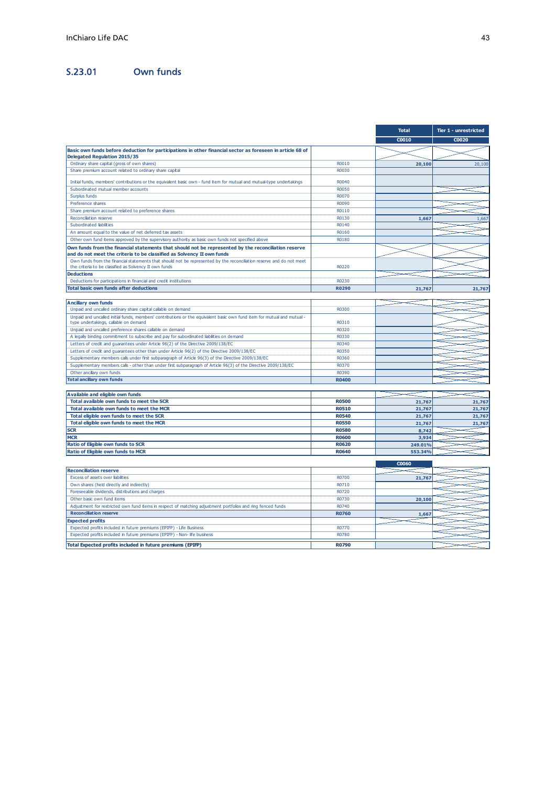| InChiaro Life DAC                                                                                                                                                                                         |                              |                  | 43                    |
|-----------------------------------------------------------------------------------------------------------------------------------------------------------------------------------------------------------|------------------------------|------------------|-----------------------|
| S.23.01<br><b>Own funds</b>                                                                                                                                                                               |                              |                  |                       |
|                                                                                                                                                                                                           |                              | <b>Total</b>     | Tier 1 - unrestricted |
| Basic own funds before deduction for participations in other financial sector as foreseen in article 68 of                                                                                                |                              | C0010            | C0020                 |
| Delegated Regulation 2015/35<br>Ordinary share capital (gross of own shares)                                                                                                                              | R0010                        | 20,100           | 20,100                |
| Share premium account related to ordinary share capital                                                                                                                                                   | R0030                        |                  |                       |
| Initial funds, members' contributions or the equivalent basic own - fund item for mutual and mutual-type undertakings<br>Subordinated mutual member accounts                                              | R0040<br><b>RO050</b>        |                  |                       |
| Surplus funds<br>Preference shares                                                                                                                                                                        | R0070<br>R0090               |                  |                       |
| Share premium account related to preference shares                                                                                                                                                        | R0110                        |                  |                       |
| Reconciliation reserve<br>Subordinated liabilities                                                                                                                                                        | R0130<br>R0140               | 1,667            | 1,667                 |
| An amount equal to the value of net deferred tax assets                                                                                                                                                   | R0160                        |                  |                       |
| Other own fund items approved by the supervisory authority as basic own funds not specified above<br>Own funds from the financial statements that should not be represented by the reconciliation reserve | R0180                        |                  |                       |
| and do not meet the criteria to be classified as Solvency II own funds<br>Own funds from the financial statements that should not be represented by the reconciliation reserve and do not meet            |                              |                  |                       |
| the criteria to be classified as Solvency II own funds                                                                                                                                                    | R0220                        |                  |                       |
| <b>Deductions</b><br>Deductions for participations in financial and credit institutions                                                                                                                   | R0230                        |                  |                       |
| <b>Total basic own funds after deductions</b>                                                                                                                                                             | R0290                        | 21,767           | 21,767                |
| <b>Ancillary own funds</b>                                                                                                                                                                                |                              |                  |                       |
| Unpaid and uncalled ordinary share capital callable on demand                                                                                                                                             | R0300                        |                  |                       |
| Unpaid and uncalled initial funds, members' contributions or the equivalent basic own fund item for mutual and mutual -<br>type undertakings, callable on demand                                          | R0310                        |                  |                       |
| Unpaid and uncalled preference shares callable on demand<br>A legally binding commitment to subscribe and pay for subordinated liabilities on demand                                                      | R0320<br>R0330               |                  |                       |
| Letters of credit and guarantees under Article 96(2) of the Directive 2009/138/EC                                                                                                                         | R0340                        |                  |                       |
| Letters of credit and guarantees other than under Article 96(2) of the Directive 2009/138/EC<br>Supplementary members calls under first subparagraph of Article 96(3) of the Directive 2009/138/EC        | R0350<br>R0360               |                  |                       |
| Supplementary members calls - other than under first subparagraph of Article 96(3) of the Directive 2009/138/EC                                                                                           | R0370                        |                  |                       |
| Other ancillary own funds<br><b>Total ancillary own funds</b>                                                                                                                                             | R0390<br><b>R0400</b>        |                  |                       |
| Available and eligible own funds                                                                                                                                                                          |                              |                  |                       |
| Total available own funds to meet the SCR                                                                                                                                                                 | <b>R0500</b>                 | 21,767           | 21,767                |
| Total available own funds to meet the MCR<br>Total eligible own funds to meet the SCR                                                                                                                     | <b>R0510</b><br><b>R0540</b> | 21,767<br>21,767 | 21,767<br>21,767      |
| Total eligible own funds to meet the MCR                                                                                                                                                                  | <b>R0550</b>                 | 21,767           | 21,767                |
| <b>SCR</b><br><b>MCR</b>                                                                                                                                                                                  | <b>R0580</b><br><b>R0600</b> | 8,742<br>3,934   |                       |
| Ratio of Eligible own funds to SCR                                                                                                                                                                        | <b>R0620</b>                 | 249.01%          |                       |
| Ratio of Eligible own funds to MCR                                                                                                                                                                        | <b>R0640</b>                 | 553.34%          |                       |
| <b>Reconciliation reserve</b>                                                                                                                                                                             |                              | C0060            |                       |
| Excess of assets over liabilities                                                                                                                                                                         | R0700                        | 21,767           |                       |
| Own shares (held directly and indirectly)<br>Foreseeable dividends, distributions and charges                                                                                                             | R0710<br>R0720               |                  |                       |
| Other basic own fund items<br>Adjustment for restricted own fund items in respect of matching adjustment portfolios and ring fenced funds                                                                 | R0730<br>R0740               | 20,100           |                       |
| <b>Reconciliation reserve</b>                                                                                                                                                                             | <b>R0760</b>                 | 1,667            |                       |
| <b>Expected profits</b><br>Expected profits included in future premiums (EPIFP) - Life Business                                                                                                           | R0770                        |                  |                       |
| Expected profits included in future premiums (EPIFP) - Non- life business                                                                                                                                 | R0780                        |                  |                       |
|                                                                                                                                                                                                           | R0790                        |                  |                       |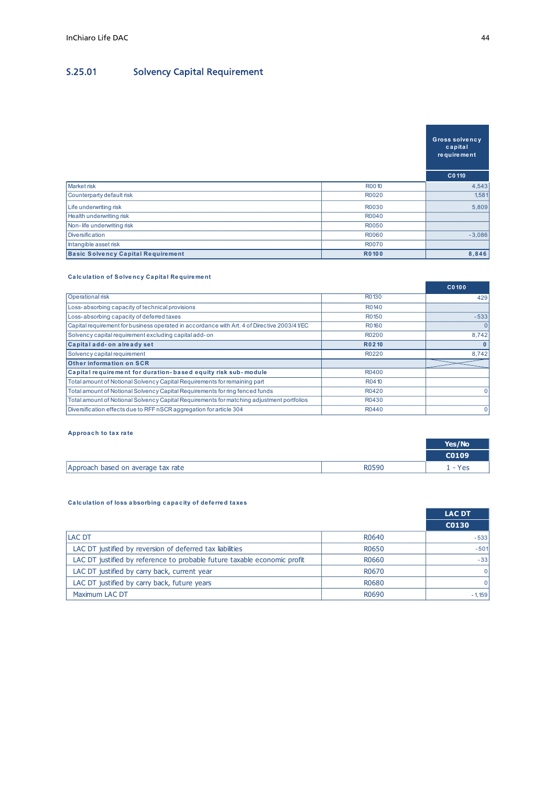# S.25.01 Solvency Capital Requirement

| InChiaro Life DAC                                                                                                                                                                                                                |                                     |                | 44                    |
|----------------------------------------------------------------------------------------------------------------------------------------------------------------------------------------------------------------------------------|-------------------------------------|----------------|-----------------------|
|                                                                                                                                                                                                                                  |                                     |                |                       |
|                                                                                                                                                                                                                                  |                                     |                |                       |
| S.25.01                                                                                                                                                                                                                          | <b>Solvency Capital Requirement</b> |                |                       |
|                                                                                                                                                                                                                                  |                                     |                |                       |
|                                                                                                                                                                                                                                  |                                     |                |                       |
|                                                                                                                                                                                                                                  |                                     |                |                       |
|                                                                                                                                                                                                                                  |                                     |                |                       |
|                                                                                                                                                                                                                                  |                                     |                |                       |
|                                                                                                                                                                                                                                  |                                     |                | <b>Gross solvency</b> |
|                                                                                                                                                                                                                                  |                                     |                | capital               |
|                                                                                                                                                                                                                                  |                                     |                | re quire ment         |
|                                                                                                                                                                                                                                  |                                     |                |                       |
|                                                                                                                                                                                                                                  |                                     |                | C0 110                |
| Market risk<br>Counterparty default risk                                                                                                                                                                                         |                                     | R0010<br>R0020 | 4,543<br>1,581        |
|                                                                                                                                                                                                                                  |                                     |                |                       |
| Life underwriting risk                                                                                                                                                                                                           |                                     | R0030          | 5,809                 |
| Health underwriting risk                                                                                                                                                                                                         |                                     | R0040          |                       |
|                                                                                                                                                                                                                                  |                                     | R0050          |                       |
| Non-life underwriting risk                                                                                                                                                                                                       |                                     | R0060          | $-3,086$              |
| Diversification                                                                                                                                                                                                                  |                                     |                |                       |
| Intangible asset risk                                                                                                                                                                                                            |                                     | R0070          |                       |
| <b>Basic Solvency Capital Requirement</b>                                                                                                                                                                                        |                                     | R0100          | 8,846                 |
|                                                                                                                                                                                                                                  |                                     |                |                       |
| <b>Calculation of Solvency Capital Requirement</b>                                                                                                                                                                               |                                     |                |                       |
|                                                                                                                                                                                                                                  |                                     |                | C0100                 |
| Operational risk                                                                                                                                                                                                                 |                                     | R0130          | 429                   |
| Loss-absorbing capacity of technical provisions                                                                                                                                                                                  |                                     | R0140          |                       |
|                                                                                                                                                                                                                                  |                                     | R0150          | $-533$                |
|                                                                                                                                                                                                                                  |                                     | R0160          | 0                     |
|                                                                                                                                                                                                                                  |                                     | R0200          | 8,742                 |
| Loss-absorbing capacity of deferred taxes<br>Capital requirement for business operated in accordance with Art. 4 of Directive 2003/41/EC<br>Solvency capital requirement excluding capital add-on<br>Capital add- on already set |                                     | R0210          | $\mathbf{0}$          |
| Solvency capital requirement                                                                                                                                                                                                     |                                     | R0220          | 8,742                 |
| Other information on SCR                                                                                                                                                                                                         |                                     |                |                       |
| Capital requirement for duration-based equity risk sub-module                                                                                                                                                                    |                                     | R0400          |                       |
| Total amount of Notional Solvency Capital Requirements for remaining part                                                                                                                                                        |                                     | R0410          |                       |
| Total amount of Notional Solvency Capital Requirements for ring fenced funds                                                                                                                                                     |                                     | R0420          | n                     |
| Total amount of Notional Solvency Capital Requirements for matching adjustment portfolios                                                                                                                                        |                                     | R0430          |                       |

|                                                                                                |                | <b>Gross solvency</b><br>capital<br>re quire ment |
|------------------------------------------------------------------------------------------------|----------------|---------------------------------------------------|
|                                                                                                |                | C0 110                                            |
| Market risk                                                                                    | R0010          | 4,543                                             |
| Counterparty default risk                                                                      | R0020          | 1,581                                             |
| Life underwriting risk                                                                         | R0030          | 5,809                                             |
| Health underwriting risk                                                                       | R0040          |                                                   |
| Non-life underwriting risk                                                                     | R0050          |                                                   |
| Diversification                                                                                | R0060          | $-3,086$                                          |
| Intangible asset risk                                                                          | R0070          |                                                   |
| <b>Basic Solvency Capital Requirement</b>                                                      | R0100          | 8,846                                             |
| <b>Calculation of Solvency Capital Requirement</b><br>Operational risk                         | R0130          | C0100                                             |
|                                                                                                |                | 429                                               |
| Loss-absorbing capacity of technical provisions<br>Loss-absorbing capacity of deferred taxes   | R0140<br>R0150 | $-533$                                            |
| Capital requirement for business operated in accordance with Art. 4 of Directive 2003/41/EC    | R0160          | $\Omega$                                          |
| Solvency capital requirement excluding capital add-on                                          | R0200          | 8,742                                             |
| Capital add- on already set                                                                    | R0210          | $\mathbf{0}$                                      |
| Solvency capital requirement                                                                   | R0220          | 8,742                                             |
| Other information on SCR                                                                       |                |                                                   |
| Capital requirement for duration-based equity risk sub-module                                  | R0400          |                                                   |
| Total amount of Notional Solvency Capital Requirements for remaining part                      | R0410          |                                                   |
| Total amount of Notional Solvency Capital Requirements for ring fenced funds                   | R0420          |                                                   |
| Total amount of Notional Solvency Capital Requirements for matching adjustment portfolios      | R0430          |                                                   |
| Diversification effects due to RFF nSCR aggregation for article 304                            | R0440          |                                                   |
| Approach to tax rate                                                                           |                | Yes/No<br>C0109                                   |
|                                                                                                |                |                                                   |
| Approach based on average tax rate<br>Calculation of loss absorbing capacity of deferred taxes | R0590          | $1 - Yes$<br><b>LAC DT</b>                        |
|                                                                                                |                |                                                   |
|                                                                                                |                | <b>C0130</b>                                      |
| <b>LAC DT</b>                                                                                  | R0640          | $-533$                                            |
|                                                                                                | R0650          | $-501$                                            |
| LAC DT justified by reversion of deferred tax liabilities                                      |                |                                                   |
| LAC DT justified by reference to probable future taxable economic profit                       | R0660          | $-33$                                             |
| LAC DT justified by carry back, current year                                                   | R0670          |                                                   |
| LAC DT justified by carry back, future years<br>Maximum LAC DT                                 | R0680<br>R0690 | $-1,159$                                          |

|                                    |       | Yes/No       |
|------------------------------------|-------|--------------|
|                                    |       | <b>CO109</b> |
| Approach based on average tax rate | R0590 | Yes          |

| Capital add- on already set<br>Solvency capital requirement<br>Other information on SCR<br>Capital requirement for duration-based equity risk sub-module<br>Total amount of Notional Solvency Capital Requirements for remaining part | R0210<br>R0220<br>R0400 | 8,742                  |
|---------------------------------------------------------------------------------------------------------------------------------------------------------------------------------------------------------------------------------------|-------------------------|------------------------|
|                                                                                                                                                                                                                                       |                         |                        |
|                                                                                                                                                                                                                                       |                         |                        |
|                                                                                                                                                                                                                                       |                         |                        |
|                                                                                                                                                                                                                                       |                         |                        |
|                                                                                                                                                                                                                                       | R0410                   |                        |
| Total amount of Notional Solvency Capital Requirements for ring fenced funds                                                                                                                                                          | R0420                   |                        |
| Total amount of Notional Solvency Capital Requirements for matching adjustment portfolios                                                                                                                                             | R0430                   |                        |
| Diversification effects due to RFF nSCR aggregation for article 304                                                                                                                                                                   | R0440                   |                        |
|                                                                                                                                                                                                                                       |                         | Yes/No<br>C0109        |
|                                                                                                                                                                                                                                       |                         |                        |
| Approach based on average tax rate                                                                                                                                                                                                    |                         |                        |
| Calculation of loss absorbing capacity of deferred taxes                                                                                                                                                                              | R0590                   | $1 - Yes$              |
|                                                                                                                                                                                                                                       |                         | <b>LAC DT</b><br>C0130 |
| LAC DT                                                                                                                                                                                                                                | R0640                   | $-533$                 |
| LAC DT justified by reversion of deferred tax liabilities                                                                                                                                                                             | R0650                   | $-501$                 |
| LAC DT justified by reference to probable future taxable economic profit                                                                                                                                                              | R0660                   | $-33$                  |
| LAC DT justified by carry back, current year                                                                                                                                                                                          | R0670                   | 0                      |
| LAC DT justified by carry back, future years                                                                                                                                                                                          | R0680                   |                        |